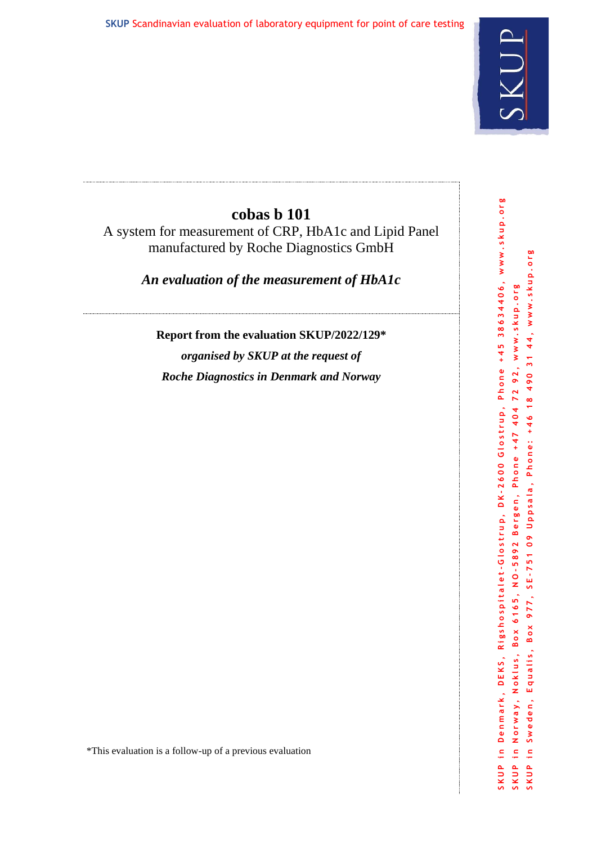

# **cobas b 101**

A system for measurement of CRP, HbA1c and Lipid Panel manufactured by Roche Diagnostics GmbH

*An evaluation of the measurement of HbA1c*

**Report from the evaluation SKUP/2022/129\***

*organised by SKUP at the request of Roche Diagnostics in Denmark and Norway*

\*This evaluation is a follow-up of a previous evaluation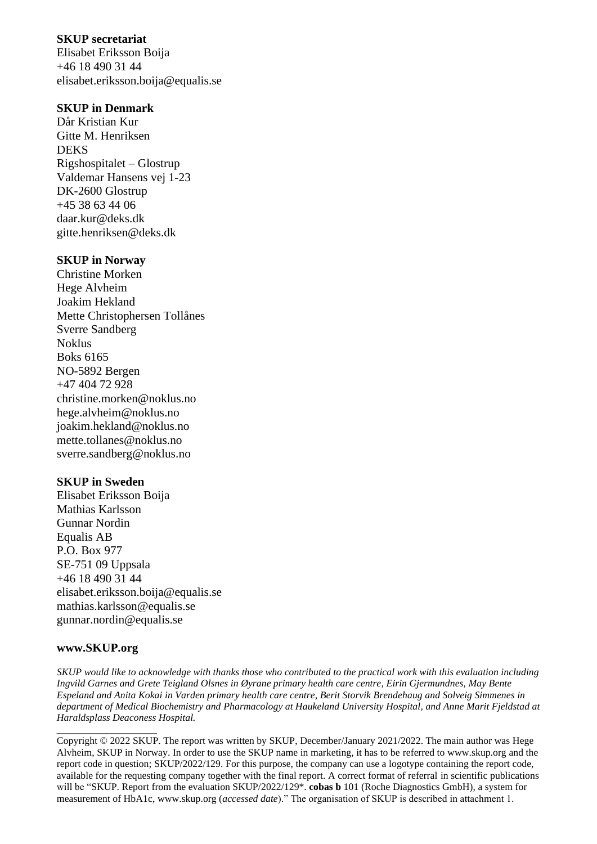## **SKUP secretariat**

Elisabet Eriksson Boija +46 18 490 31 44 elisabet.eriksson.boija@equalis.se

## **SKUP in Denmark**

Dår Kristian Kur Gitte M. Henriksen DEKS Rigshospitalet – Glostrup Valdemar Hansens vej 1-23 DK-2600 Glostrup +45 38 63 44 06 daar.kur@deks.dk gitte.henriksen@deks.dk

## **SKUP in Norway**

Christine Morken Hege Alvheim Joakim Hekland Mette Christophersen Tollånes Sverre Sandberg Noklus Boks 6165 NO-5892 Bergen +47 404 72 928 christine.morken@noklus.no hege.alvheim@noklus.no joakim.hekland@noklus.no mette.tollanes@noklus.no sverre.sandberg@noklus.no

## **SKUP in Sweden**

Elisabet Eriksson Boija Mathias Karlsson Gunnar Nordin Equalis AB P.O. Box 977 SE-751 09 Uppsala +46 18 490 31 44 elisabet.eriksson.boija@equalis.se mathias.karlsson@equalis.se [gunnar.nordin@equalis.se](mailto:gunnar.nordin@equalis.se)

#### **www.SKUP.org**

\_\_\_\_\_\_\_\_\_\_\_\_\_\_\_\_\_\_\_\_

*SKUP would like to acknowledge with thanks those who contributed to the practical work with this evaluation including Ingvild Garnes and Grete Teigland Olsnes in Øyrane primary health care centre, Eirin Gjermundnes, May Bente Espeland and Anita Kokai in Varden primary health care centre, Berit Storvik Brendehaug and Solveig Simmenes in department of Medical Biochemistry and Pharmacology at Haukeland University Hospital, and Anne Marit Fjeldstad at Haraldsplass Deaconess Hospital.*

Copyright © 2022 SKUP. The report was written by SKUP, December/January 2021/2022. The main author was Hege Alvheim, SKUP in Norway. In order to use the SKUP name in marketing, it has to be referred to www.skup.org and the report code in question; SKUP/2022/129. For this purpose, the company can use a logotype containing the report code, available for the requesting company together with the final report. A correct format of referral in scientific publications will be "SKUP. Report from the evaluation SKUP/2022/129<sup>\*</sup>. **cobas b** 101 (Roche Diagnostics GmbH), a system for measurement of HbA1c, www.skup.org (*accessed date*)." The organisation of SKUP is described in attachment 1.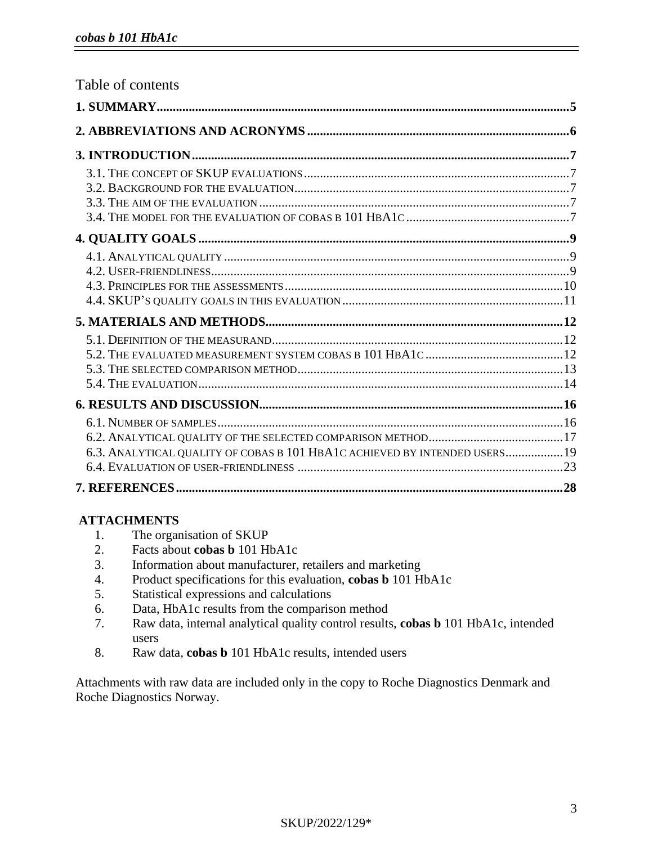| Table of contents                                                          |  |
|----------------------------------------------------------------------------|--|
|                                                                            |  |
|                                                                            |  |
|                                                                            |  |
|                                                                            |  |
|                                                                            |  |
|                                                                            |  |
|                                                                            |  |
|                                                                            |  |
|                                                                            |  |
|                                                                            |  |
|                                                                            |  |
|                                                                            |  |
|                                                                            |  |
|                                                                            |  |
|                                                                            |  |
|                                                                            |  |
|                                                                            |  |
|                                                                            |  |
|                                                                            |  |
|                                                                            |  |
| 6.3. ANALYTICAL QUALITY OF COBAS B 101 HBA1C ACHIEVED BY INTENDED USERS 19 |  |
|                                                                            |  |
|                                                                            |  |

## **ATTACHMENTS**

- 1. The organisation of SKUP
- 2. Facts about **cobas b** 101 HbA1c
- 3. Information about manufacturer, retailers and marketing
- 4. Product specifications for this evaluation, **cobas b** 101 HbA1c
- 5. Statistical expressions and calculations
- 6. Data, HbA1c results from the comparison method
- 7. Raw data, internal analytical quality control results, **cobas b** 101 HbA1c, intended users
- 8. Raw data, **cobas b** 101 HbA1c results, intended users

Attachments with raw data are included only in the copy to Roche Diagnostics Denmark and Roche Diagnostics Norway.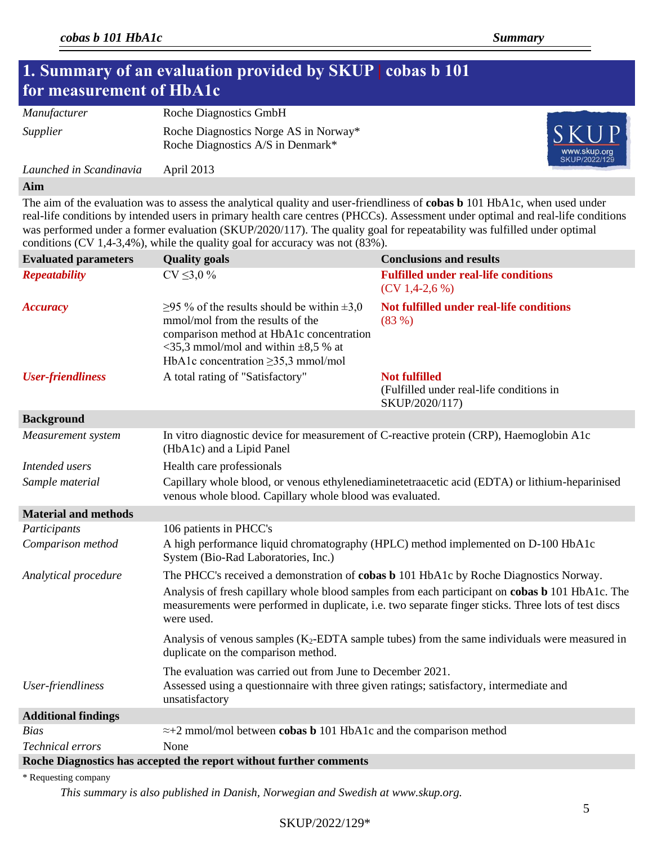# **1. Summary of an evaluation provided by SKUP | cobas b 101 for measurement of HbA1c** *Manufacturer* Roche Diagnostics GmbH *Supplier* Roche Diagnostics Norge AS in Norway\* Roche Diagnostics A/S in Denmark\*

*Launched in Scandinavia* April 2013

#### **Aim**

The aim of the evaluation was to assess the analytical quality and user-friendliness of **cobas b** 101 HbA1c, when used under real-life conditions by intended users in primary health care centres (PHCCs). Assessment under optimal and real-life conditions was performed under a former evaluation (SKUP/2020/117). The quality goal for repeatability was fulfilled under optimal conditions (CV 1,4-3,4%), while the quality goal for accuracy was not (83%).

| <b>Evaluated parameters</b> | <b>Quality goals</b>                                                                                                                                                                                                          | <b>Conclusions and results</b>                                                                                                                                                                                |  |  |
|-----------------------------|-------------------------------------------------------------------------------------------------------------------------------------------------------------------------------------------------------------------------------|---------------------------------------------------------------------------------------------------------------------------------------------------------------------------------------------------------------|--|--|
| <b>Repeatability</b>        | $CV \le 3.0\%$                                                                                                                                                                                                                | <b>Fulfilled under real-life conditions</b><br>$(CV 1, 4-2, 6\%)$                                                                                                                                             |  |  |
| <b>Accuracy</b>             | $\geq$ 95 % of the results should be within $\pm$ 3,0<br>mmol/mol from the results of the<br>comparison method at HbA1c concentration<br>$\leq$ 35,3 mmol/mol and within $\pm$ 8,5 % at<br>HbA1c concentration ≥35,3 mmol/mol | Not fulfilled under real-life conditions<br>(83%)                                                                                                                                                             |  |  |
| <b>User-friendliness</b>    | A total rating of "Satisfactory"                                                                                                                                                                                              | <b>Not fulfilled</b><br>(Fulfilled under real-life conditions in<br>SKUP/2020/117)                                                                                                                            |  |  |
| <b>Background</b>           |                                                                                                                                                                                                                               |                                                                                                                                                                                                               |  |  |
| Measurement system          | (HbA1c) and a Lipid Panel                                                                                                                                                                                                     | In vitro diagnostic device for measurement of C-reactive protein (CRP), Haemoglobin A1c                                                                                                                       |  |  |
| Intended users              | Health care professionals                                                                                                                                                                                                     |                                                                                                                                                                                                               |  |  |
| Sample material             | Capillary whole blood, or venous ethylenediaminetetraacetic acid (EDTA) or lithium-heparinised<br>venous whole blood. Capillary whole blood was evaluated.                                                                    |                                                                                                                                                                                                               |  |  |
| <b>Material and methods</b> |                                                                                                                                                                                                                               |                                                                                                                                                                                                               |  |  |
| Participants                | 106 patients in PHCC's                                                                                                                                                                                                        |                                                                                                                                                                                                               |  |  |
| Comparison method           | A high performance liquid chromatography (HPLC) method implemented on D-100 HbA1c<br>System (Bio-Rad Laboratories, Inc.)                                                                                                      |                                                                                                                                                                                                               |  |  |
| Analytical procedure        |                                                                                                                                                                                                                               | The PHCC's received a demonstration of cobas b 101 HbA1c by Roche Diagnostics Norway.                                                                                                                         |  |  |
|                             | were used.                                                                                                                                                                                                                    | Analysis of fresh capillary whole blood samples from each participant on <b>cobas b</b> 101 HbA1c. The<br>measurements were performed in duplicate, i.e. two separate finger sticks. Three lots of test discs |  |  |
|                             | duplicate on the comparison method.                                                                                                                                                                                           | Analysis of venous samples (K <sub>2</sub> -EDTA sample tubes) from the same individuals were measured in                                                                                                     |  |  |
| User-friendliness           | The evaluation was carried out from June to December 2021.<br>Assessed using a questionnaire with three given ratings; satisfactory, intermediate and<br>unsatisfactory                                                       |                                                                                                                                                                                                               |  |  |
| <b>Additional findings</b>  |                                                                                                                                                                                                                               |                                                                                                                                                                                                               |  |  |
| <b>Bias</b>                 | $\approx$ +2 mmol/mol between cobas b 101 HbA1c and the comparison method                                                                                                                                                     |                                                                                                                                                                                                               |  |  |
| Technical errors            | None                                                                                                                                                                                                                          |                                                                                                                                                                                                               |  |  |
|                             | Roche Diagnostics has accepted the report without further comments                                                                                                                                                            |                                                                                                                                                                                                               |  |  |
| * Requesting company        |                                                                                                                                                                                                                               |                                                                                                                                                                                                               |  |  |

*This summary is also published in Danish, Norwegian and Swedish at [www.skup.org.](http://www.skup.org/)*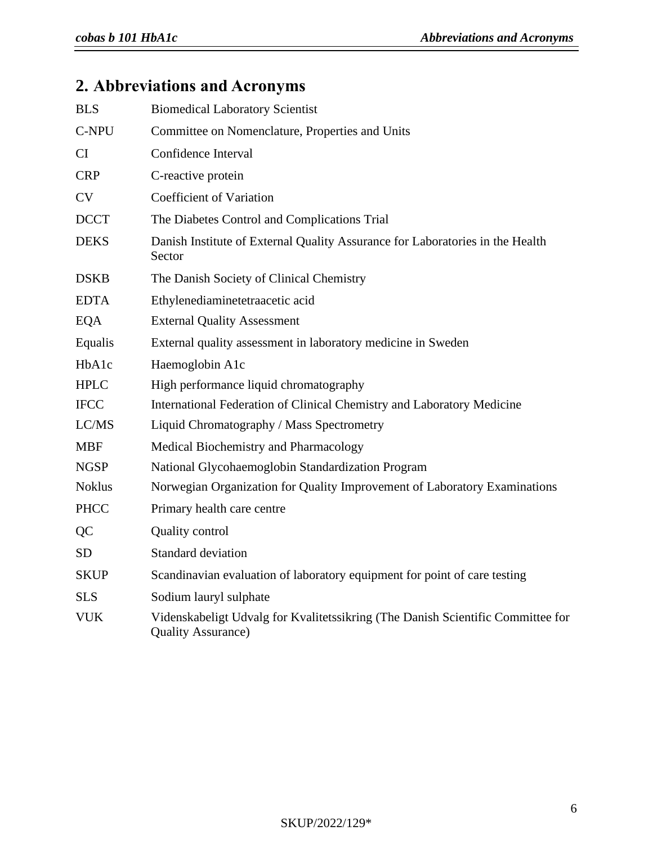# **2. Abbreviations and Acronyms**

| <b>BLS</b>    | <b>Biomedical Laboratory Scientist</b>                                                                       |
|---------------|--------------------------------------------------------------------------------------------------------------|
| C-NPU         | Committee on Nomenclature, Properties and Units                                                              |
| <b>CI</b>     | Confidence Interval                                                                                          |
| <b>CRP</b>    | C-reactive protein                                                                                           |
| <b>CV</b>     | <b>Coefficient of Variation</b>                                                                              |
| <b>DCCT</b>   | The Diabetes Control and Complications Trial                                                                 |
| <b>DEKS</b>   | Danish Institute of External Quality Assurance for Laboratories in the Health<br>Sector                      |
| <b>DSKB</b>   | The Danish Society of Clinical Chemistry                                                                     |
| <b>EDTA</b>   | Ethylenediaminetetraacetic acid                                                                              |
| <b>EQA</b>    | <b>External Quality Assessment</b>                                                                           |
| Equalis       | External quality assessment in laboratory medicine in Sweden                                                 |
| HbA1c         | Haemoglobin A1c                                                                                              |
| <b>HPLC</b>   | High performance liquid chromatography                                                                       |
| <b>IFCC</b>   | International Federation of Clinical Chemistry and Laboratory Medicine                                       |
| LC/MS         | Liquid Chromatography / Mass Spectrometry                                                                    |
| <b>MBF</b>    | Medical Biochemistry and Pharmacology                                                                        |
| <b>NGSP</b>   | National Glycohaemoglobin Standardization Program                                                            |
| <b>Noklus</b> | Norwegian Organization for Quality Improvement of Laboratory Examinations                                    |
| <b>PHCC</b>   | Primary health care centre                                                                                   |
| QC            | Quality control                                                                                              |
| <b>SD</b>     | Standard deviation                                                                                           |
| <b>SKUP</b>   | Scandinavian evaluation of laboratory equipment for point of care testing                                    |
| <b>SLS</b>    | Sodium lauryl sulphate                                                                                       |
| <b>VUK</b>    | Videnskabeligt Udvalg for Kvalitetssikring (The Danish Scientific Committee for<br><b>Quality Assurance)</b> |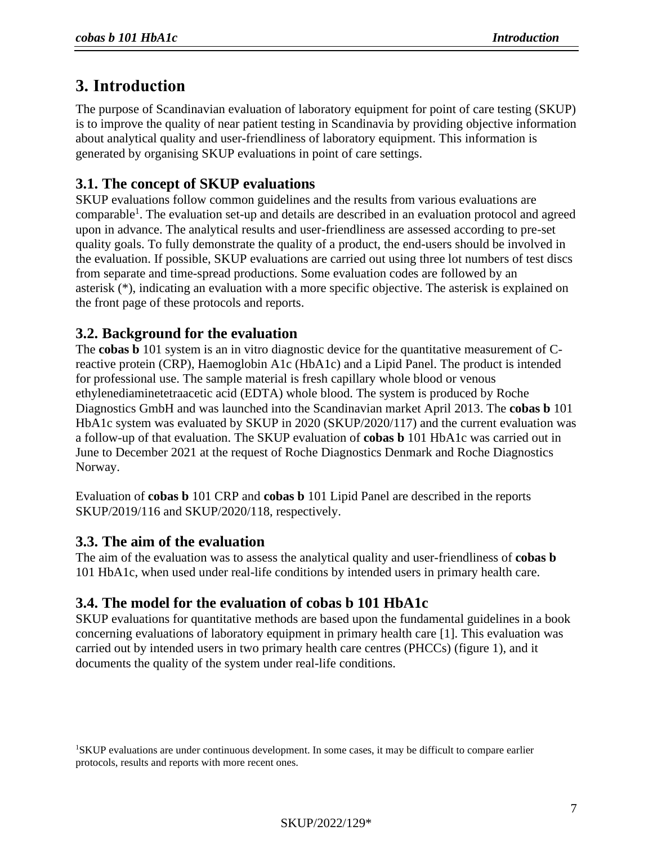# **3. Introduction**

The purpose of Scandinavian evaluation of laboratory equipment for point of care testing (SKUP) is to improve the quality of near patient testing in Scandinavia by providing objective information about analytical quality and user-friendliness of laboratory equipment. This information is generated by organising SKUP evaluations in point of care settings.

## **3.1. The concept of SKUP evaluations**

SKUP evaluations follow common guidelines and the results from various evaluations are comparable<sup>1</sup>. The evaluation set-up and details are described in an evaluation protocol and agreed upon in advance. The analytical results and user-friendliness are assessed according to pre-set quality goals. To fully demonstrate the quality of a product, the end-users should be involved in the evaluation. If possible, SKUP evaluations are carried out using three lot numbers of test discs from separate and time-spread productions. Some evaluation codes are followed by an asterisk (\*), indicating an evaluation with a more specific objective. The asterisk is explained on the front page of these protocols and reports.

## **3.2. Background for the evaluation**

The **cobas b** 101 system is an in vitro diagnostic device for the quantitative measurement of Creactive protein (CRP), Haemoglobin A1c (HbA1c) and a Lipid Panel. The product is intended for professional use. The sample material is fresh capillary whole blood or venous ethylenediaminetetraacetic acid (EDTA) whole blood. The system is produced by Roche Diagnostics GmbH and was launched into the Scandinavian market April 2013. The **cobas b** 101 HbA1c system was evaluated by SKUP in 2020 (SKUP/2020/117) and the current evaluation was a follow-up of that evaluation. The SKUP evaluation of **cobas b** 101 HbA1c was carried out in June to December 2021 at the request of Roche Diagnostics Denmark and Roche Diagnostics Norway.

Evaluation of **cobas b** 101 CRP and **cobas b** 101 Lipid Panel are described in the reports SKUP/2019/116 and SKUP/2020/118, respectively.

## **3.3. The aim of the evaluation**

The aim of the evaluation was to assess the analytical quality and user-friendliness of **cobas b** 101 HbA1c, when used under real-life conditions by intended users in primary health care.

## **3.4. The model for the evaluation of cobas b 101 HbA1c**

SKUP evaluations for quantitative methods are based upon the fundamental guidelines in a book concerning evaluations of laboratory equipment in primary health care [1]. This evaluation was carried out by intended users in two primary health care centres (PHCCs) (figure 1), and it documents the quality of the system under real-life conditions.

<sup>1</sup>SKUP evaluations are under continuous development. In some cases, it may be difficult to compare earlier protocols, results and reports with more recent ones.

SKUP/2022/129\*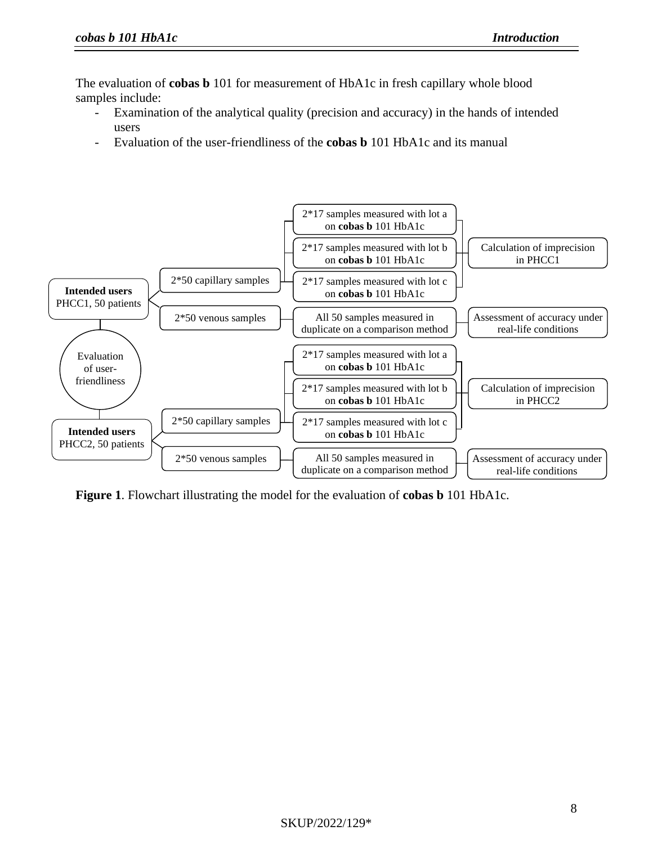The evaluation of **cobas b** 101 for measurement of HbA1c in fresh capillary whole blood samples include:

- Examination of the analytical quality (precision and accuracy) in the hands of intended users
- Evaluation of the user-friendliness of the **cobas b** 101 HbA1c and its manual



**Figure 1**. Flowchart illustrating the model for the evaluation of **cobas b** 101 HbA1c.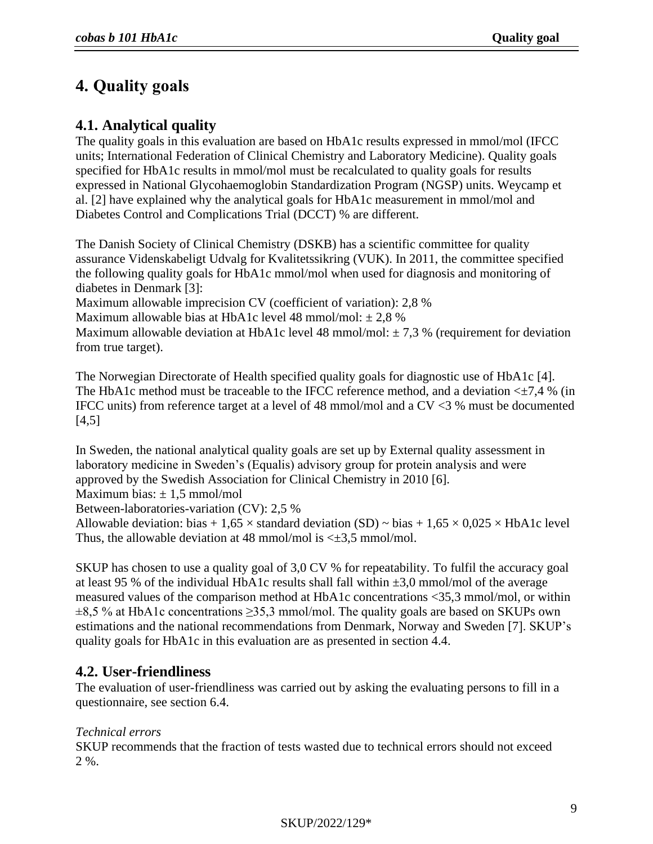# **4. Quality goals**

## **4.1. Analytical quality**

The quality goals in this evaluation are based on HbA1c results expressed in mmol/mol (IFCC units; International Federation of Clinical Chemistry and Laboratory Medicine). Quality goals specified for HbA1c results in mmol/mol must be recalculated to quality goals for results expressed in National Glycohaemoglobin Standardization Program (NGSP) units. Weycamp et al. [2] have explained why the analytical goals for HbA1c measurement in mmol/mol and Diabetes Control and Complications Trial (DCCT) % are different.

The Danish Society of Clinical Chemistry (DSKB) has a scientific committee for quality assurance Videnskabeligt Udvalg for Kvalitetssikring (VUK). In 2011, the committee specified the following quality goals for HbA1c mmol/mol when used for diagnosis and monitoring of diabetes in Denmark [3]:

Maximum allowable imprecision CV (coefficient of variation): 2,8 %

Maximum allowable bias at HbA1c level 48 mmol/mol:  $\pm 2.8$  %

Maximum allowable deviation at HbA1c level 48 mmol/mol:  $\pm$  7,3 % (requirement for deviation from true target).

The Norwegian Directorate of Health specified quality goals for diagnostic use of HbA1c [4]. The HbA1c method must be traceable to the IFCC reference method, and a deviation  $\leq \pm 7.4$  % (in IFCC units) from reference target at a level of 48 mmol/mol and a CV <3 % must be documented  $[4,5]$ 

In Sweden, the national analytical quality goals are set up by External quality assessment in laboratory medicine in Sweden's (Equalis) advisory group for protein analysis and were approved by the Swedish Association for Clinical Chemistry in 2010 [6].

Maximum bias:  $\pm$  1.5 mmol/mol

Between-laboratories-variation (CV): 2,5 %

Allowable deviation: bias + 1,65  $\times$  standard deviation (SD)  $\sim$  bias + 1,65  $\times$  0,025  $\times$  HbA1c level Thus, the allowable deviation at 48 mmol/mol is  $\leq \pm 3.5$  mmol/mol.

SKUP has chosen to use a quality goal of 3,0 CV % for repeatability. To fulfil the accuracy goal at least 95 % of the individual HbA1c results shall fall within  $\pm 3.0$  mmol/mol of the average measured values of the comparison method at HbA1c concentrations <35,3 mmol/mol, or within  $\pm 8.5$  % at HbA1c concentrations  $\geq 35.3$  mmol/mol. The quality goals are based on SKUPs own estimations and the national recommendations from Denmark, Norway and Sweden [\[7\]](#page-26-0). SKUP's quality goals for HbA1c in this evaluation are as presented in section 4.4.

## **4.2. User-friendliness**

The evaluation of user-friendliness was carried out by asking the evaluating persons to fill in a questionnaire, see section 6.4.

## *Technical errors*

SKUP recommends that the fraction of tests wasted due to technical errors should not exceed 2 %.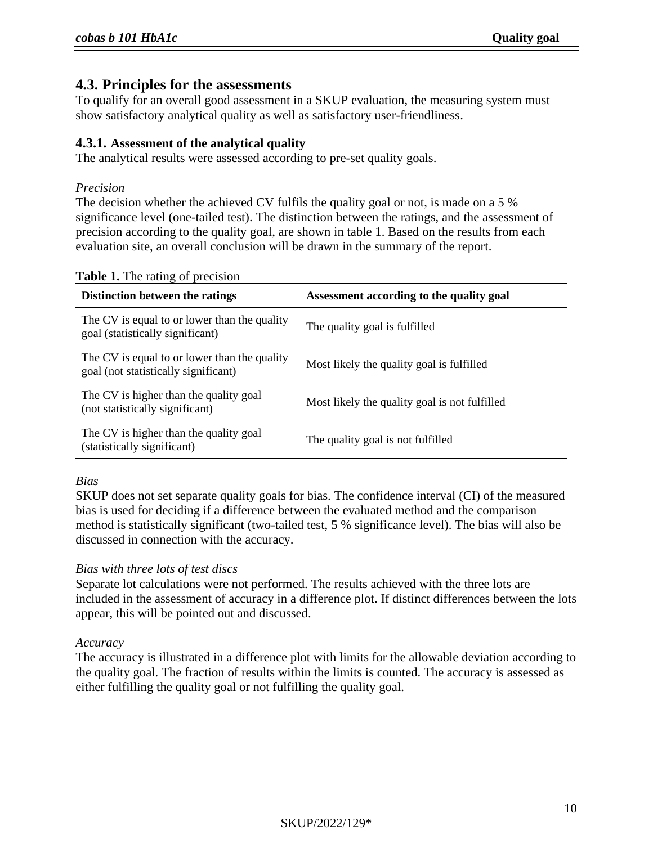## **4.3. Principles for the assessments**

To qualify for an overall good assessment in a SKUP evaluation, the measuring system must show satisfactory analytical quality as well as satisfactory user-friendliness.

## **4.3.1. Assessment of the analytical quality**

The analytical results were assessed according to pre-set quality goals.

#### *Precision*

The decision whether the achieved CV fulfils the quality goal or not, is made on a 5 % significance level (one-tailed test). The distinction between the ratings, and the assessment of precision according to the quality goal, are shown in table 1. Based on the results from each evaluation site, an overall conclusion will be drawn in the summary of the report.

| $\frac{1}{2}$ and $\frac{1}{2}$ are reading the procession.<br>Distinction between the ratings | Assessment according to the quality goal      |
|------------------------------------------------------------------------------------------------|-----------------------------------------------|
| The CV is equal to or lower than the quality<br>goal (statistically significant)               | The quality goal is fulfilled                 |
| The CV is equal to or lower than the quality<br>goal (not statistically significant)           | Most likely the quality goal is fulfilled     |
| The CV is higher than the quality goal<br>(not statistically significant)                      | Most likely the quality goal is not fulfilled |
| The CV is higher than the quality goal<br>(statistically significant)                          | The quality goal is not fulfilled             |

#### **Table 1.** The rating of precision

#### *Bias*

SKUP does not set separate quality goals for bias. The confidence interval (CI) of the measured bias is used for deciding if a difference between the evaluated method and the comparison method is statistically significant (two-tailed test, 5 % significance level). The bias will also be discussed in connection with the accuracy.

## *Bias with three lots of test discs*

Separate lot calculations were not performed. The results achieved with the three lots are included in the assessment of accuracy in a difference plot. If distinct differences between the lots appear, this will be pointed out and discussed.

#### *Accuracy*

The accuracy is illustrated in a difference plot with limits for the allowable deviation according to the quality goal. The fraction of results within the limits is counted. The accuracy is assessed as either fulfilling the quality goal or not fulfilling the quality goal.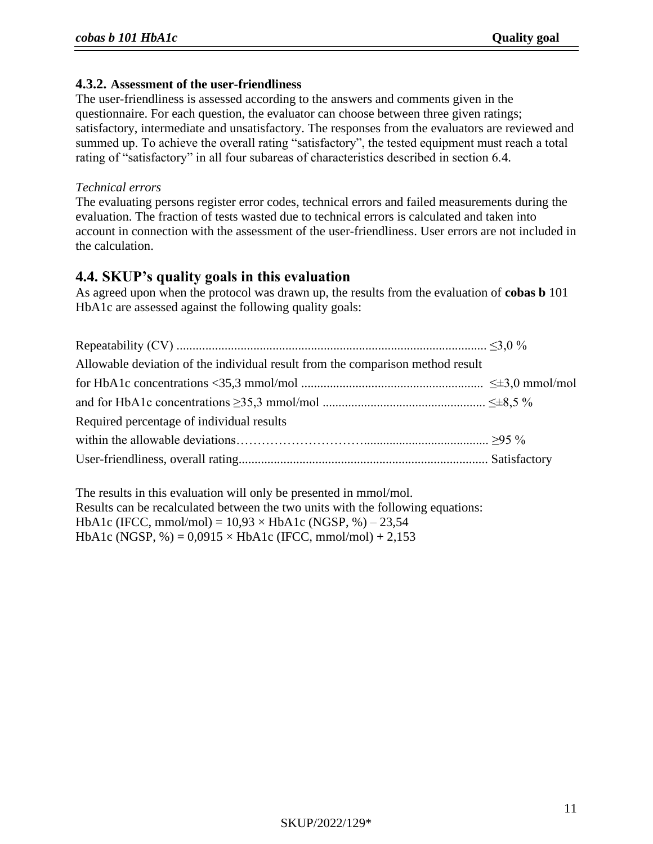## **4.3.2. Assessment of the user-friendliness**

The user-friendliness is assessed according to the answers and comments given in the questionnaire. For each question, the evaluator can choose between three given ratings; satisfactory, intermediate and unsatisfactory. The responses from the evaluators are reviewed and summed up. To achieve the overall rating "satisfactory", the tested equipment must reach a total rating of "satisfactory" in all four subareas of characteristics described in section 6.4.

#### *Technical errors*

The evaluating persons register error codes, technical errors and failed measurements during the evaluation. The fraction of tests wasted due to technical errors is calculated and taken into account in connection with the assessment of the user-friendliness. User errors are not included in the calculation.

## **4.4. SKUP's quality goals in this evaluation**

As agreed upon when the protocol was drawn up, the results from the evaluation of **cobas b** 101 HbA1c are assessed against the following quality goals:

| Allowable deviation of the individual result from the comparison method result |  |
|--------------------------------------------------------------------------------|--|
|                                                                                |  |
|                                                                                |  |
| Required percentage of individual results                                      |  |
|                                                                                |  |
|                                                                                |  |

The results in this evaluation will only be presented in mmol/mol. Results can be recalculated between the two units with the following equations: HbA1c (IFCC, mmol/mol) =  $10,93 \times$  HbA1c (NGSP, %) – 23,54 HbA1c (NGSP, %) =  $0,0915 \times$  HbA1c (IFCC, mmol/mol) + 2,153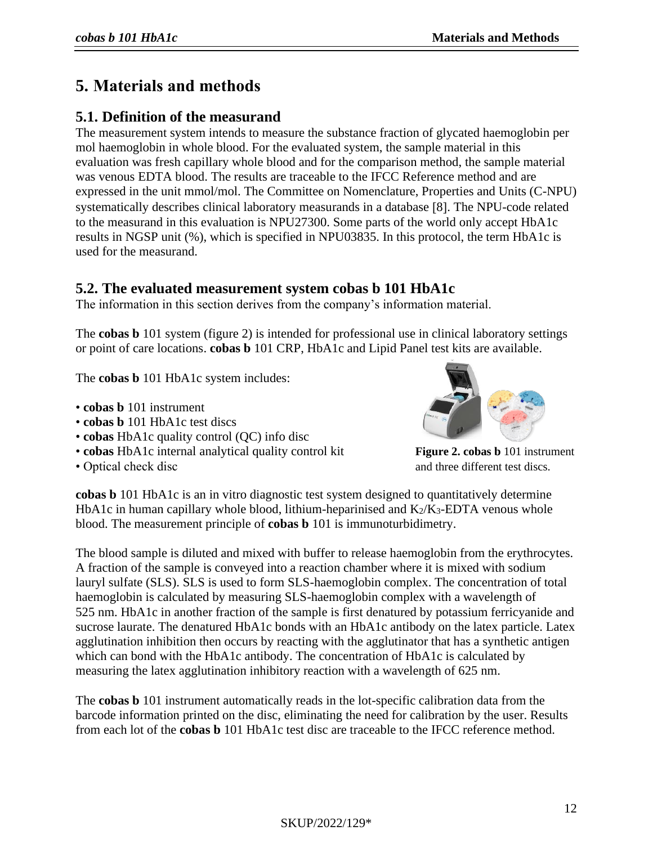# **5. Materials and methods**

## **5.1. Definition of the measurand**

The measurement system intends to measure the substance fraction of glycated haemoglobin per mol haemoglobin in whole blood. For the evaluated system, the sample material in this evaluation was fresh capillary whole blood and for the comparison method, the sample material was venous EDTA blood. The results are traceable to the IFCC Reference method and are expressed in the unit mmol/mol. The Committee on Nomenclature, Properties and Units (C-NPU) systematically describes clinical laboratory measurands in a database [[8](#page-26-1)]. The NPU-code related to the measurand in this evaluation is NPU27300. Some parts of the world only accept HbA1c results in NGSP unit (%), which is specified in NPU03835. In this protocol, the term HbA1c is used for the measurand.

## **5.2. The evaluated measurement system cobas b 101 HbA1c**

The information in this section derives from the company's information material.

The **cobas b** 101 system (figure 2) is intended for professional use in clinical laboratory settings or point of care locations. **cobas b** 101 CRP, HbA1c and Lipid Panel test kits are available.

The **cobas b** 101 HbA1c system includes:

- **cobas b** 101 instrument
- **cobas b** 101 HbA1c test discs
- **cobas** HbA1c quality control (QC) info disc
- **cobas** HbA1c internal analytical quality control kit **Figure 2. cobas b** 101 instrument
- 



• Optical check disc and three different test discs.

**cobas b** 101 HbA1c is an in vitro diagnostic test system designed to quantitatively determine HbA1c in human capillary whole blood, lithium-heparinised and  $K_2/K_3$ -EDTA venous whole blood. The measurement principle of **cobas b** 101 is immunoturbidimetry.

The blood sample is diluted and mixed with buffer to release haemoglobin from the erythrocytes. A fraction of the sample is conveyed into a reaction chamber where it is mixed with sodium lauryl sulfate (SLS). SLS is used to form SLS-haemoglobin complex. The concentration of total haemoglobin is calculated by measuring SLS-haemoglobin complex with a wavelength of 525 nm. HbA1c in another fraction of the sample is first denatured by potassium ferricyanide and sucrose laurate. The denatured HbA1c bonds with an HbA1c antibody on the latex particle. Latex agglutination inhibition then occurs by reacting with the agglutinator that has a synthetic antigen which can bond with the HbA1c antibody. The concentration of HbA1c is calculated by measuring the latex agglutination inhibitory reaction with a wavelength of 625 nm.

The **cobas b** 101 instrument automatically reads in the lot-specific calibration data from the barcode information printed on the disc, eliminating the need for calibration by the user. Results from each lot of the **cobas b** 101 HbA1c test disc are traceable to the IFCC reference method.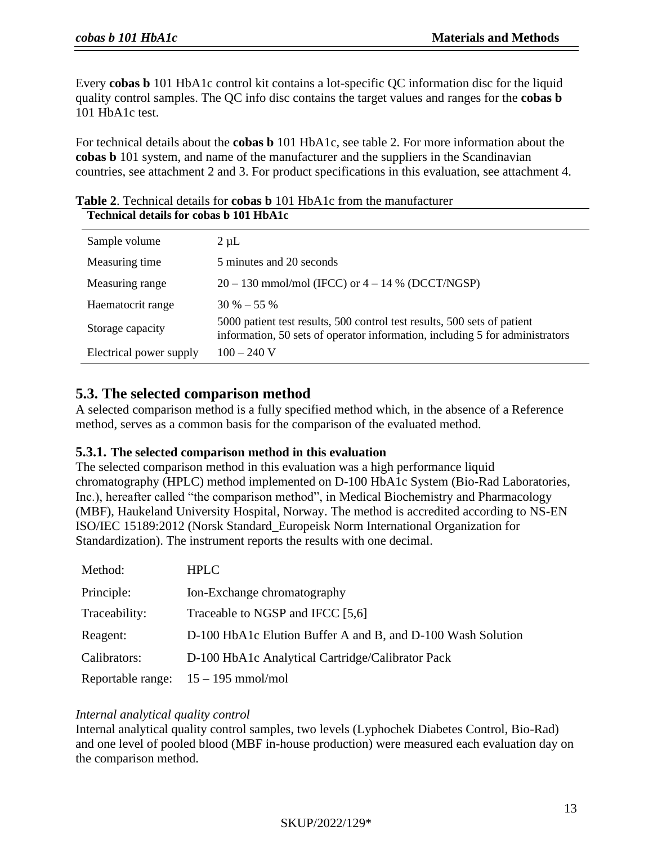Every **cobas b** 101 HbA1c control kit contains a lot-specific QC information disc for the liquid quality control samples. The QC info disc contains the target values and ranges for the **cobas b** 101 HbA1c test.

For technical details about the **cobas b** 101 HbA1c, see table 2. For more information about the **cobas b** 101 system, and name of the manufacturer and the suppliers in the Scandinavian countries, see attachment 2 and 3. For product specifications in this evaluation, see attachment 4.

|                         | Technical details for copas p for from to                                                                                                                |  |  |  |  |
|-------------------------|----------------------------------------------------------------------------------------------------------------------------------------------------------|--|--|--|--|
| Sample volume           | $2 \mu L$                                                                                                                                                |  |  |  |  |
| Measuring time          | 5 minutes and 20 seconds                                                                                                                                 |  |  |  |  |
| Measuring range         | $20 - 130$ mmol/mol (IFCC) or $4 - 14$ % (DCCT/NGSP)                                                                                                     |  |  |  |  |
| Haematocrit range       | $30\% - 55\%$                                                                                                                                            |  |  |  |  |
| Storage capacity        | 5000 patient test results, 500 control test results, 500 sets of patient<br>information, 50 sets of operator information, including 5 for administrators |  |  |  |  |
| Electrical power supply | $100 - 240$ V                                                                                                                                            |  |  |  |  |

**Table 2**. Technical details for **cobas b** 101 HbA1c from the manufacturer **Technical details for cobas b 101 HbA1c**

## **5.3. The selected comparison method**

A selected comparison method is a fully specified method which, in the absence of a Reference method, serves as a common basis for the comparison of the evaluated method.

## **5.3.1. The selected comparison method in this evaluation**

The selected comparison method in this evaluation was a high performance liquid chromatography (HPLC) method implemented on D-100 HbA1c System (Bio-Rad Laboratories, Inc.), hereafter called "the comparison method", in Medical Biochemistry and Pharmacology (MBF), Haukeland University Hospital, Norway. The method is accredited according to NS-EN ISO/IEC 15189:2012 (Norsk Standard\_Europeisk Norm International Organization for Standardization). The instrument reports the results with one decimal.

| Method:       | <b>HPLC</b>                                                 |
|---------------|-------------------------------------------------------------|
| Principle:    | Ion-Exchange chromatography                                 |
| Traceability: | Traceable to NGSP and IFCC [5,6]                            |
| Reagent:      | D-100 HbA1c Elution Buffer A and B, and D-100 Wash Solution |
| Calibrators:  | D-100 HbA1c Analytical Cartridge/Calibrator Pack            |
|               | Reportable range: $15 - 195$ mmol/mol                       |

#### *Internal analytical quality control*

Internal analytical quality control samples, two levels (Lyphochek Diabetes Control, Bio-Rad) and one level of pooled blood (MBF in-house production) were measured each evaluation day on the comparison method.

## SKUP/2022/129\*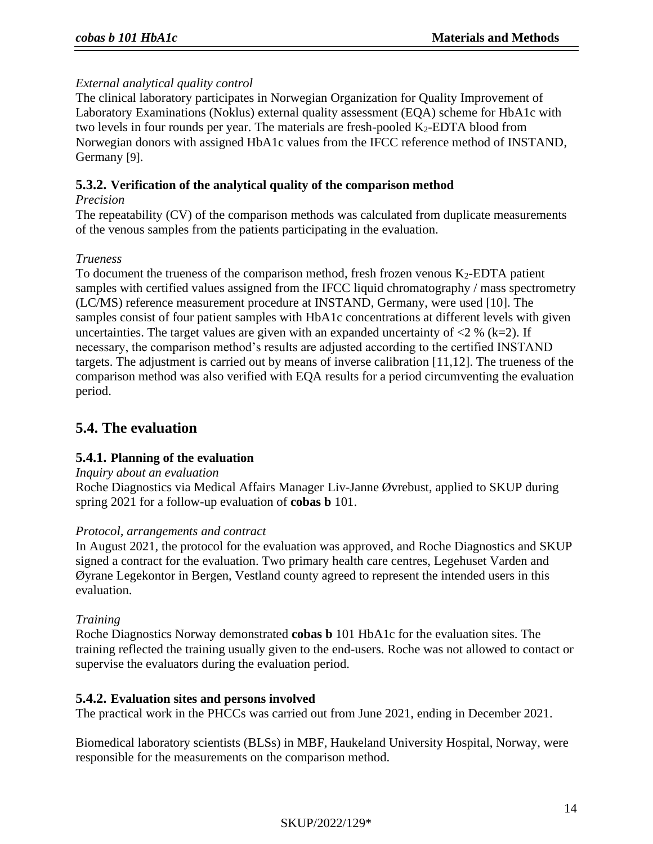## *External analytical quality control*

The clinical laboratory participates in Norwegian Organization for Quality Improvement of Laboratory Examinations (Noklus) external quality assessment (EQA) scheme for HbA1c with two levels in four rounds per year. The materials are fresh-pooled  $K_2$ -EDTA blood from Norwegian donors with assigned HbA1c values from the IFCC reference method of INSTAND, Germany [\[9\]](#page-26-2).

## **5.3.2. Verification of the analytical quality of the comparison method**

## *Precision*

The repeatability (CV) of the comparison methods was calculated from duplicate measurements of the venous samples from the patients participating in the evaluation.

## *Trueness*

To document the trueness of the comparison method, fresh frozen venous  $K_2$ -EDTA patient samples with certified values assigned from the IFCC liquid chromatography / mass spectrometry (LC/MS) reference measurement procedure at INSTAND, Germany, were used [10]. The samples consist of four patient samples with HbA1c concentrations at different levels with given uncertainties. The target values are given with an expanded uncertainty of  $\langle 2 \times (k=2) \rangle$ . If necessary, the comparison method's results are adjusted according to the certified INSTAND targets. The adjustment is carried out by means of inverse calibration [\[11](#page-26-3)[,12\]](#page-26-4). The trueness of the comparison method was also verified with EQA results for a period circumventing the evaluation period.

## **5.4. The evaluation**

## **5.4.1. Planning of the evaluation**

## *Inquiry about an evaluation*

Roche Diagnostics via Medical Affairs Manager Liv-Janne Øvrebust, applied to SKUP during spring 2021 for a follow-up evaluation of **cobas b** 101.

## *Protocol, arrangements and contract*

In August 2021, the protocol for the evaluation was approved, and Roche Diagnostics and SKUP signed a contract for the evaluation. Two primary health care centres, Legehuset Varden and Øyrane Legekontor in Bergen, Vestland county agreed to represent the intended users in this evaluation.

## *Training*

Roche Diagnostics Norway demonstrated **cobas b** 101 HbA1c for the evaluation sites. The training reflected the training usually given to the end-users. Roche was not allowed to contact or supervise the evaluators during the evaluation period.

## **5.4.2. Evaluation sites and persons involved**

The practical work in the PHCCs was carried out from June 2021, ending in December 2021.

Biomedical laboratory scientists (BLSs) in MBF, Haukeland University Hospital, Norway, were responsible for the measurements on the comparison method.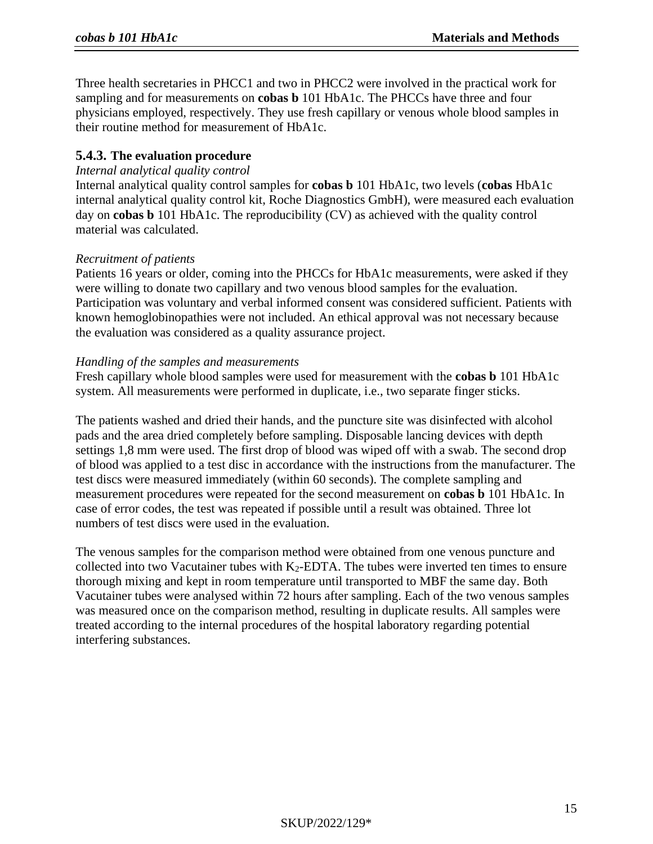Three health secretaries in PHCC1 and two in PHCC2 were involved in the practical work for sampling and for measurements on **cobas b** 101 HbA1c. The PHCCs have three and four physicians employed, respectively. They use fresh capillary or venous whole blood samples in their routine method for measurement of HbA1c.

## **5.4.3. The evaluation procedure**

## *Internal analytical quality control*

Internal analytical quality control samples for **cobas b** 101 HbA1c, two levels (**cobas** HbA1c internal analytical quality control kit, Roche Diagnostics GmbH), were measured each evaluation day on **cobas b** 101 HbA1c. The reproducibility (CV) as achieved with the quality control material was calculated.

## *Recruitment of patients*

Patients 16 years or older, coming into the PHCCs for HbA1c measurements, were asked if they were willing to donate two capillary and two venous blood samples for the evaluation. Participation was voluntary and verbal informed consent was considered sufficient. Patients with known hemoglobinopathies were not included. An ethical approval was not necessary because the evaluation was considered as a quality assurance project.

## *Handling of the samples and measurements*

Fresh capillary whole blood samples were used for measurement with the **cobas b** 101 HbA1c system. All measurements were performed in duplicate, i.e., two separate finger sticks.

The patients washed and dried their hands, and the puncture site was disinfected with alcohol pads and the area dried completely before sampling. Disposable lancing devices with depth settings 1,8 mm were used. The first drop of blood was wiped off with a swab. The second drop of blood was applied to a test disc in accordance with the instructions from the manufacturer. The test discs were measured immediately (within 60 seconds). The complete sampling and measurement procedures were repeated for the second measurement on **cobas b** 101 HbA1c. In case of error codes, the test was repeated if possible until a result was obtained. Three lot numbers of test discs were used in the evaluation.

The venous samples for the comparison method were obtained from one venous puncture and collected into two Vacutainer tubes with  $K_2$ -EDTA. The tubes were inverted ten times to ensure thorough mixing and kept in room temperature until transported to MBF the same day. Both Vacutainer tubes were analysed within 72 hours after sampling. Each of the two venous samples was measured once on the comparison method, resulting in duplicate results. All samples were treated according to the internal procedures of the hospital laboratory regarding potential interfering substances.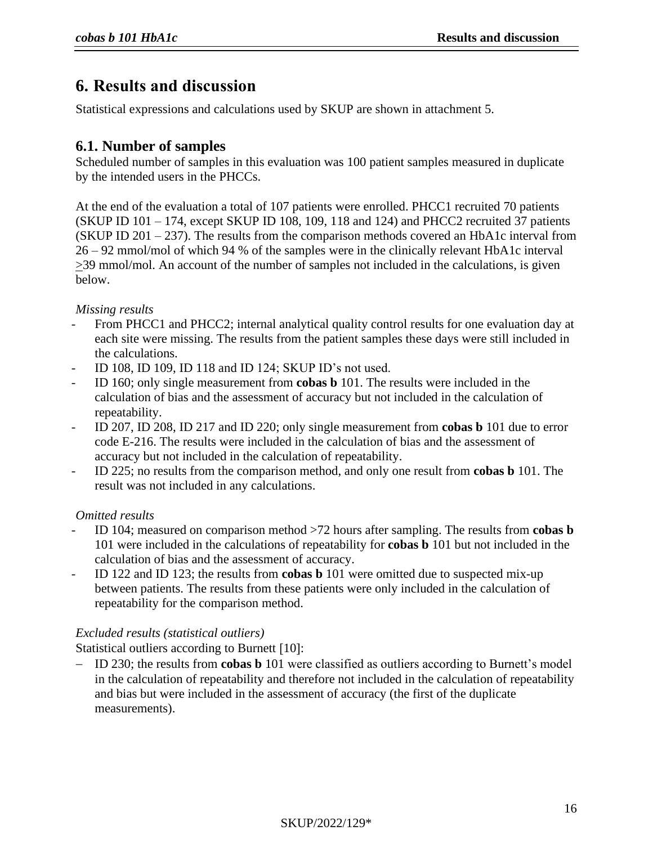# **6. Results and discussion**

Statistical expressions and calculations used by SKUP are shown in attachment 5.

## <span id="page-14-0"></span>**6.1. Number of samples**

Scheduled number of samples in this evaluation was 100 patient samples measured in duplicate by the intended users in the PHCCs.

At the end of the evaluation a total of 107 patients were enrolled. PHCC1 recruited 70 patients (SKUP ID 101 – 174, except SKUP ID 108, 109, 118 and 124) and PHCC2 recruited 37 patients (SKUP ID 201 – 237). The results from the comparison methods covered an HbA1c interval from 26 – 92 mmol/mol of which 94 % of the samples were in the clinically relevant HbA1c interval  $\geq$ 39 mmol/mol. An account of the number of samples not included in the calculations, is given below.

## *Missing results*

- From PHCC1 and PHCC2; internal analytical quality control results for one evaluation day at each site were missing. The results from the patient samples these days were still included in the calculations.
- ID 108, ID 109, ID 118 and ID 124; SKUP ID's not used.
- ID 160; only single measurement from **cobas b** 101. The results were included in the calculation of bias and the assessment of accuracy but not included in the calculation of repeatability.
- ID 207, ID 208, ID 217 and ID 220; only single measurement from **cobas b** 101 due to error code E-216. The results were included in the calculation of bias and the assessment of accuracy but not included in the calculation of repeatability.
- ID 225; no results from the comparison method, and only one result from **cobas b** 101. The result was not included in any calculations.

## *Omitted results*

- ID 104; measured on comparison method >72 hours after sampling. The results from **cobas b** 101 were included in the calculations of repeatability for **cobas b** 101 but not included in the calculation of bias and the assessment of accuracy.
- ID 122 and ID 123; the results from **cobas b** 101 were omitted due to suspected mix-up between patients. The results from these patients were only included in the calculation of repeatability for the comparison method.

## *Excluded results (statistical outliers)*

Statistical outliers according to Burnett [[10](#page-26-5)]:

− ID 230; the results from **cobas b** 101 were classified as outliers according to Burnett's model in the calculation of repeatability and therefore not included in the calculation of repeatability and bias but were included in the assessment of accuracy (the first of the duplicate measurements).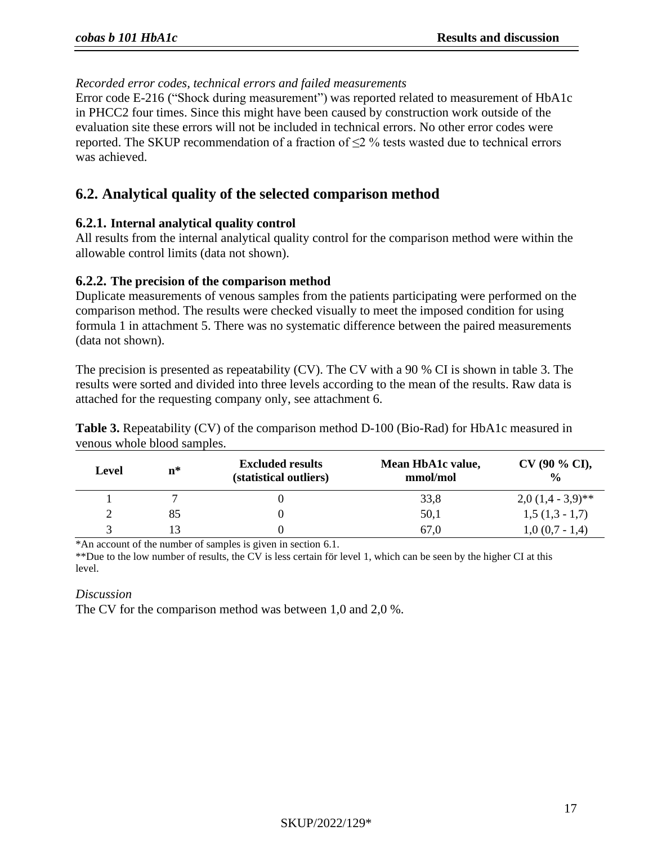## *Recorded error codes, technical errors and failed measurements*

Error code E-216 ("Shock during measurement") was reported related to measurement of HbA1c in PHCC2 four times. Since this might have been caused by construction work outside of the evaluation site these errors will not be included in technical errors. No other error codes were reported. The SKUP recommendation of a fraction of  $\leq$ 2 % tests wasted due to technical errors was achieved.

## **6.2. Analytical quality of the selected comparison method**

## **6.2.1. Internal analytical quality control**

All results from the internal analytical quality control for the comparison method were within the allowable control limits (data not shown).

## **6.2.2. The precision of the comparison method**

Duplicate measurements of venous samples from the patients participating were performed on the comparison method. The results were checked visually to meet the imposed condition for using formula 1 in attachment 5. There was no systematic difference between the paired measurements (data not shown).

The precision is presented as repeatability (CV). The CV with a 90 % CI is shown in table 3. The results were sorted and divided into three levels according to the mean of the results. Raw data is attached for the requesting company only, see attachment 6.

| Level | $\mathbf{n}^*$ | <b>Excluded results</b><br>(statistical outliers) | Mean HbA1c value,<br>mmol/mol | $CV(90\% CI),$<br>$\frac{0}{0}$ |
|-------|----------------|---------------------------------------------------|-------------------------------|---------------------------------|
|       |                |                                                   | 33,8                          | $2,0(1,4-3,9)$ **               |
|       | 85             |                                                   | 50,1                          | $1,5(1,3-1,7)$                  |
|       |                |                                                   | 67,0                          | $1,0(0,7-1,4)$                  |

**Table 3.** Repeatability (CV) of the comparison method D-100 (Bio-Rad) for HbA1c measured in venous whole blood samples.

\*An account of the number of samples is given in section 6.1.

\*\*Due to the low number of results, the CV is less certain för level 1, which can be seen by the higher CI at this level.

#### *Discussion*

The CV for the comparison method was between 1,0 and 2,0 %.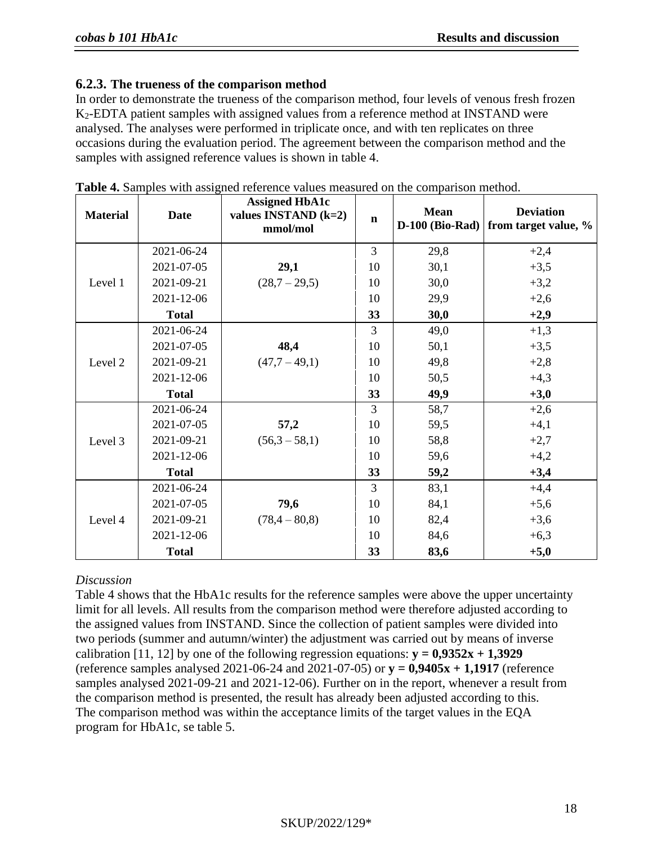## **6.2.3. The trueness of the comparison method**

In order to demonstrate the trueness of the comparison method, four levels of venous fresh frozen K2-EDTA patient samples with assigned values from a reference method at INSTAND were analysed. The analyses were performed in triplicate once, and with ten replicates on three occasions during the evaluation period. The agreement between the comparison method and the samples with assigned reference values is shown in table 4.

| <b>Material</b> | <b>Date</b>  | <b>Assigned HbA1c</b><br>values INSTAND $(k=2)$<br>mmol/mol | $\mathbf n$ | <b>Mean</b><br><b>D-100 (Bio-Rad)</b> | <b>Deviation</b><br>from target value, % |
|-----------------|--------------|-------------------------------------------------------------|-------------|---------------------------------------|------------------------------------------|
|                 | 2021-06-24   |                                                             | 3           | 29,8                                  | $+2,4$                                   |
|                 | 2021-07-05   | 29,1                                                        | 10          | 30,1                                  | $+3,5$                                   |
| Level 1         | 2021-09-21   | $(28,7 - 29,5)$                                             | 10          | 30,0                                  | $+3,2$                                   |
|                 | 2021-12-06   |                                                             | 10          | 29,9                                  | $+2,6$                                   |
|                 | <b>Total</b> |                                                             | 33          | 30,0                                  | $+2,9$                                   |
|                 | 2021-06-24   |                                                             | 3           | 49,0                                  | $+1,3$                                   |
|                 | 2021-07-05   | 48,4                                                        | 10          | 50,1                                  | $+3,5$                                   |
| Level 2         | 2021-09-21   | $(47,7 - 49,1)$                                             | 10          | 49,8                                  | $+2,8$                                   |
|                 | 2021-12-06   |                                                             | 10          | 50,5                                  | $+4,3$                                   |
|                 | <b>Total</b> |                                                             | 33          | 49,9                                  | $+3,0$                                   |
|                 | 2021-06-24   |                                                             | 3           | 58,7                                  | $+2,6$                                   |
|                 | 2021-07-05   | 57,2                                                        | 10          | 59,5                                  | $+4,1$                                   |
| Level 3         | 2021-09-21   | $(56,3 - 58,1)$                                             | 10          | 58,8                                  | $+2,7$                                   |
|                 | 2021-12-06   |                                                             | 10          | 59,6                                  | $+4,2$                                   |
|                 | <b>Total</b> |                                                             | 33          | 59,2                                  | $+3,4$                                   |
|                 | 2021-06-24   |                                                             | 3           | 83,1                                  | $+4,4$                                   |
|                 | 2021-07-05   | 79,6                                                        | 10          | 84,1                                  | $+5,6$                                   |
| Level 4         | 2021-09-21   | $(78, 4 - 80, 8)$                                           | 10          | 82,4                                  | $+3,6$                                   |
|                 | 2021-12-06   |                                                             | 10          | 84,6                                  | $+6,3$                                   |
|                 | <b>Total</b> |                                                             | 33          | 83,6                                  | $+5,0$                                   |

|  |  |  | Table 4. Samples with assigned reference values measured on the comparison method. |  |  |
|--|--|--|------------------------------------------------------------------------------------|--|--|
|  |  |  |                                                                                    |  |  |

## *Discussion*

Table 4 shows that the HbA1c results for the reference samples were above the upper uncertainty limit for all levels. All results from the comparison method were therefore adjusted according to the assigned values from INSTAND. Since the collection of patient samples were divided into two periods (summer and autumn/winter) the adjustment was carried out by means of inverse calibration [11, 12] by one of the following regression equations:  $y = 0.9352x + 1.3929$ (reference samples analysed 2021-06-24 and 2021-07-05) or **y = 0,9405x + 1,1917** (reference samples analysed 2021-09-21 and 2021-12-06). Further on in the report, whenever a result from the comparison method is presented, the result has already been adjusted according to this. The comparison method was within the acceptance limits of the target values in the EQA program for HbA1c, se table 5.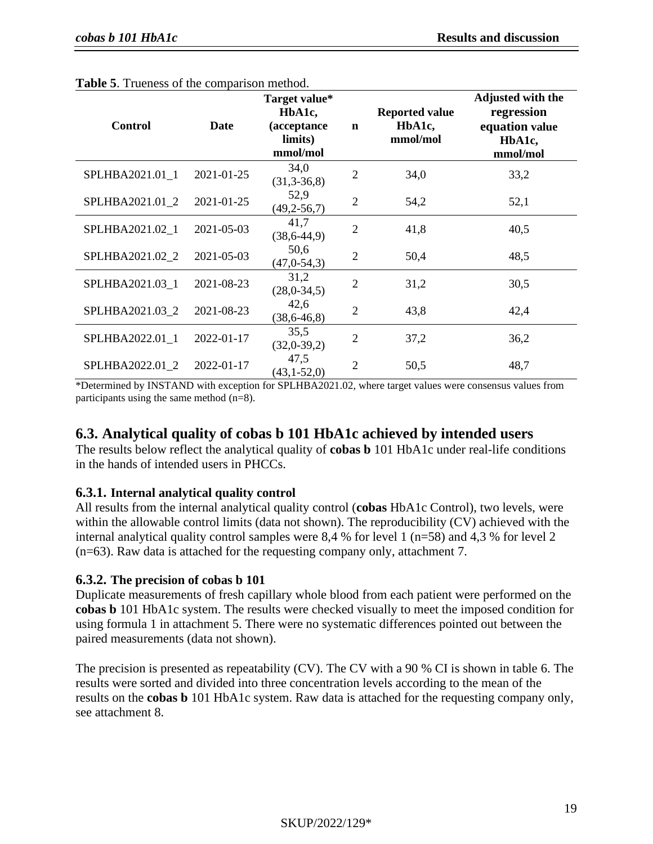| <b>Control</b>  | <b>Date</b> | Target value*<br>HbA1c,<br>(acceptance<br>limits)<br>mmol/mol | $\mathbf n$    | <b>Reported value</b><br>HbA1c,<br>mmol/mol | <b>Adjusted with the</b><br>regression<br>equation value<br>HbA1c,<br>mmol/mol |
|-----------------|-------------|---------------------------------------------------------------|----------------|---------------------------------------------|--------------------------------------------------------------------------------|
| SPLHBA2021.01 1 | 2021-01-25  | 34,0<br>$(31,3-36,8)$                                         | $\overline{2}$ | 34,0                                        | 33,2                                                                           |
| SPLHBA2021.01 2 | 2021-01-25  | 52,9<br>$(49,2-56,7)$                                         | $\overline{2}$ | 54,2                                        | 52,1                                                                           |
| SPLHBA2021.02_1 | 2021-05-03  | 41,7<br>$(38, 6-44, 9)$                                       | $\overline{2}$ | 41,8                                        | 40,5                                                                           |
| SPLHBA2021.02 2 | 2021-05-03  | 50,6<br>(47, 0.54, 3)                                         | $\overline{2}$ | 50,4                                        | 48,5                                                                           |
| SPLHBA2021.03_1 | 2021-08-23  | 31,2<br>$(28,0-34,5)$                                         | $\overline{2}$ | 31,2                                        | 30,5                                                                           |
| SPLHBA2021.03 2 | 2021-08-23  | 42,6<br>$(38, 6 - 46, 8)$                                     | $\overline{2}$ | 43,8                                        | 42,4                                                                           |
| SPLHBA2022.01_1 | 2022-01-17  | 35,5<br>$(32,0-39,2)$                                         | 2              | 37,2                                        | 36,2                                                                           |
| SPLHBA2022.01 2 | 2022-01-17  | 47,5<br>$(43,1-52,0)$                                         | 2              | 50,5                                        | 48,7                                                                           |

| <b>Table 5.</b> Trueness of the comparison method. |  |
|----------------------------------------------------|--|
|----------------------------------------------------|--|

\*Determined by INSTAND with exception for SPLHBA2021.02, where target values were consensus values from participants using the same method (n=8).

## **6.3. Analytical quality of cobas b 101 HbA1c achieved by intended users**

The results below reflect the analytical quality of **cobas b** 101 HbA1c under real-life conditions in the hands of intended users in PHCCs.

## **6.3.1. Internal analytical quality control**

All results from the internal analytical quality control (**cobas** HbA1c Control), two levels, were within the allowable control limits (data not shown). The reproducibility (CV) achieved with the internal analytical quality control samples were 8,4 % for level 1 (n=58) and 4,3 % for level 2 (n=63). Raw data is attached for the requesting company only, attachment 7.

## **6.3.2. The precision of cobas b 101**

Duplicate measurements of fresh capillary whole blood from each patient were performed on the **cobas b** 101 HbA1c system. The results were checked visually to meet the imposed condition for using formula 1 in attachment 5. There were no systematic differences pointed out between the paired measurements (data not shown).

The precision is presented as repeatability (CV). The CV with a 90 % CI is shown in table 6. The results were sorted and divided into three concentration levels according to the mean of the results on the **cobas b** 101 HbA1c system. Raw data is attached for the requesting company only, see attachment 8.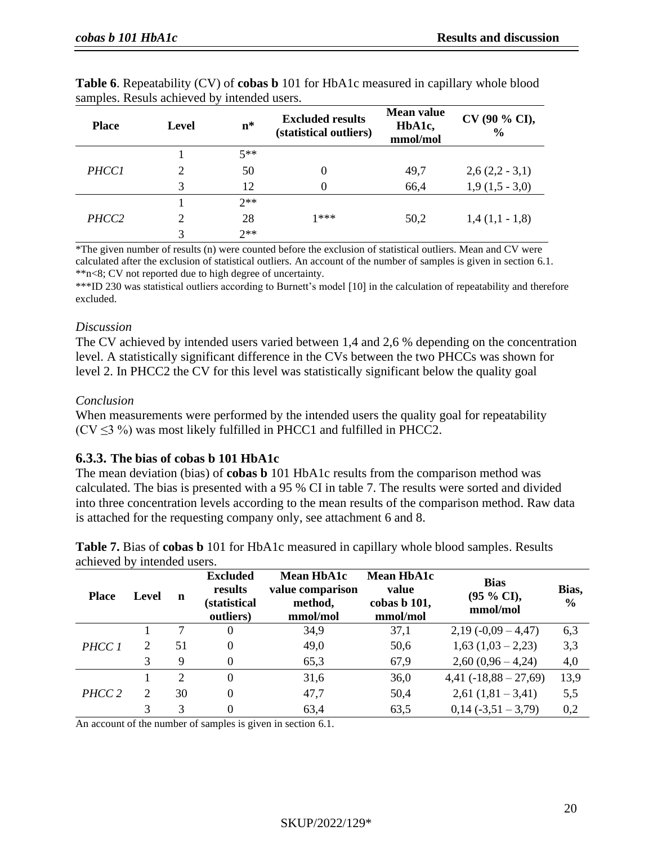| <b>Place</b>      | <b>Level</b>  | $n^*$ | <b>Excluded results</b><br>(statistical outliers) | <b>Mean value</b><br>HbA1c,<br>mmol/mol | CV (90 % CI),<br>$\frac{6}{9}$ |
|-------------------|---------------|-------|---------------------------------------------------|-----------------------------------------|--------------------------------|
|                   |               | $5**$ |                                                   |                                         |                                |
| <b>PHCC1</b>      |               | 50    |                                                   | 49,7                                    | $2,6(2,2-3,1)$                 |
|                   | 3             | 12    |                                                   | 66,4                                    | $1,9(1,5-3,0)$                 |
|                   |               | $2**$ |                                                   |                                         |                                |
| PHCC <sub>2</sub> | $\mathcal{D}$ | 28    | 1***                                              | 50,2                                    | $1,4(1,1-1,8)$                 |
|                   | 3             | $2**$ |                                                   |                                         |                                |

**Table 6**. Repeatability (CV) of **cobas b** 101 for HbA1c measured in capillary whole blood samples. Resuls achieved by intended users.

\*The given number of results (n) were counted before the exclusion of statistical outliers. Mean and CV were calculated after the exclusion of statistical outliers. An account of the number of samples is given in section 6.1. \*\*n<8; CV not reported due to high degree of uncertainty.

\*\*\*ID 230 was statistical outliers according to Burnett's model [[10](#page-26-5)] in the calculation of repeatability and therefore excluded.

## *Discussion*

The CV achieved by intended users varied between 1,4 and 2,6 % depending on the concentration level. A statistically significant difference in the CVs between the two PHCCs was shown for level 2. In PHCC2 the CV for this level was statistically significant below the quality goal

## *Conclusion*

When measurements were performed by the intended users the quality goal for repeatability  $(CV \leq 3\%)$  was most likely fulfilled in PHCC1 and fulfilled in PHCC2.

## **6.3.3. The bias of cobas b 101 HbA1c**

The mean deviation (bias) of **cobas b** 101 HbA1c results from the comparison method was calculated. The bias is presented with a 95 % CI in table 7. The results were sorted and divided into three concentration levels according to the mean results of the comparison method. Raw data is attached for the requesting company only, see attachment 6 and 8.

**Table 7.** Bias of **cobas b** 101 for HbA1c measured in capillary whole blood samples. Results achieved by intended users.

| <b>Place</b> | Level          | n              | <b>Excluded</b><br>results<br><i>(statistical</i><br>outliers) | <b>Mean HbA1c</b><br>value comparison<br>method,<br>mmol/mol | <b>Mean HbA1c</b><br>value<br>cobas b 101,<br>mmol/mol | <b>Bias</b><br>(95 % CI),<br>mmol/mol | Bias,<br>$\frac{0}{0}$ |
|--------------|----------------|----------------|----------------------------------------------------------------|--------------------------------------------------------------|--------------------------------------------------------|---------------------------------------|------------------------|
|              |                |                | $\boldsymbol{0}$                                               | 34,9                                                         | 37,1                                                   | $2,19(-0,09-4,47)$                    | 6,3                    |
| PHCC 1       | 2              | 51             | $\boldsymbol{0}$                                               | 49,0                                                         | 50,6                                                   | $1,63$ $(1,03 - 2,23)$                | 3,3                    |
|              | 3              | 9              | $\boldsymbol{0}$                                               | 65,3                                                         | 67,9                                                   | $2,60(0,96-4,24)$                     | 4,0                    |
|              |                | $\overline{2}$ | $\boldsymbol{0}$                                               | 31,6                                                         | 36,0                                                   | $4,41(-18,88-27,69)$                  | 13,9                   |
| PHCC 2       | $\overline{2}$ | 30             | $\boldsymbol{0}$                                               | 47,7                                                         | 50,4                                                   | $2,61(1,81-3,41)$                     | 5,5                    |
|              | 3              | 3              | $\boldsymbol{0}$                                               | 63,4                                                         | 63,5                                                   | $0,14(-3,51-3,79)$                    | 0,2                    |

An account of the number of samples is given in section [6.1.](#page-14-0)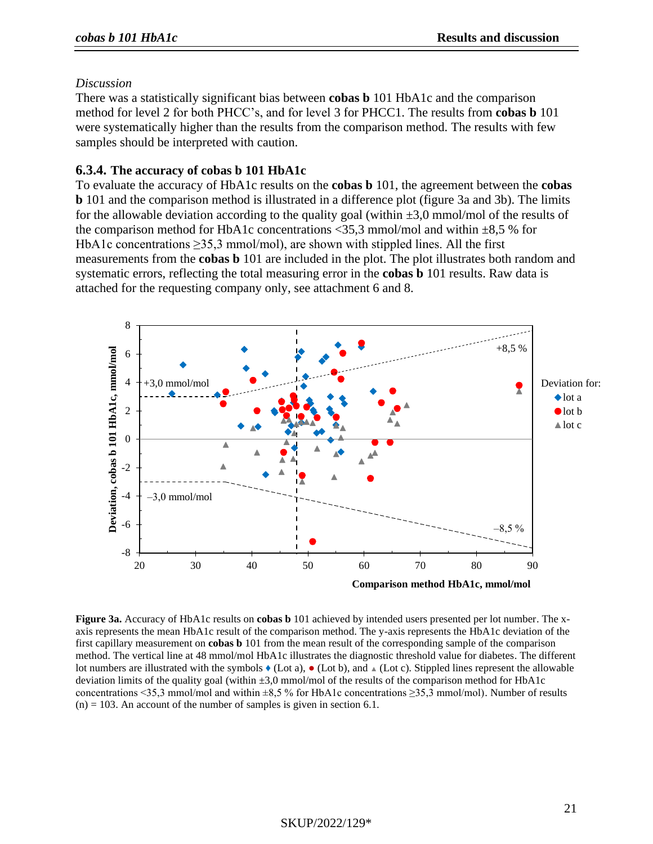#### *Discussion*

There was a statistically significant bias between **cobas b** 101 HbA1c and the comparison method for level 2 for both PHCC's, and for level 3 for PHCC1. The results from **cobas b** 101 were systematically higher than the results from the comparison method. The results with few samples should be interpreted with caution.

## **6.3.4. The accuracy of cobas b 101 HbA1c**

To evaluate the accuracy of HbA1c results on the **cobas b** 101, the agreement between the **cobas b** 101 and the comparison method is illustrated in a difference plot (figure 3a and 3b). The limits for the allowable deviation according to the quality goal (within  $\pm 3.0$  mmol/mol of the results of the comparison method for HbA1c concentrations  $\langle 35.3 \text{ mmol/mol} \rangle$  and within  $\pm 8.5$  % for HbA1c concentrations ≥35,3 mmol/mol), are shown with stippled lines. All the first measurements from the **cobas b** 101 are included in the plot. The plot illustrates both random and systematic errors, reflecting the total measuring error in the **cobas b** 101 results. Raw data is attached for the requesting company only, see attachment 6 and 8.



**Figure 3a.** Accuracy of HbA1c results on **cobas b** 101 achieved by intended users presented per lot number. The xaxis represents the mean HbA1c result of the comparison method. The y-axis represents the HbA1c deviation of the first capillary measurement on **cobas b** 101 from the mean result of the corresponding sample of the comparison method. The vertical line at 48 mmol/mol HbA1c illustrates the diagnostic threshold value for diabetes. The different lot numbers are illustrated with the symbols ♦ (Lot a), ● (Lot b), and **▲** (Lot c). Stippled lines represent the allowable deviation limits of the quality goal (within  $\pm 3.0$  mmol/mol of the results of the comparison method for HbA1c concentrations <35,3 mmol/mol and within  $\pm 8.5$  % for HbA1c concentrations  $\geq 35.3$  mmol/mol). Number of results  $(n) = 103$ . An account of the number of samples is given in section 6.1.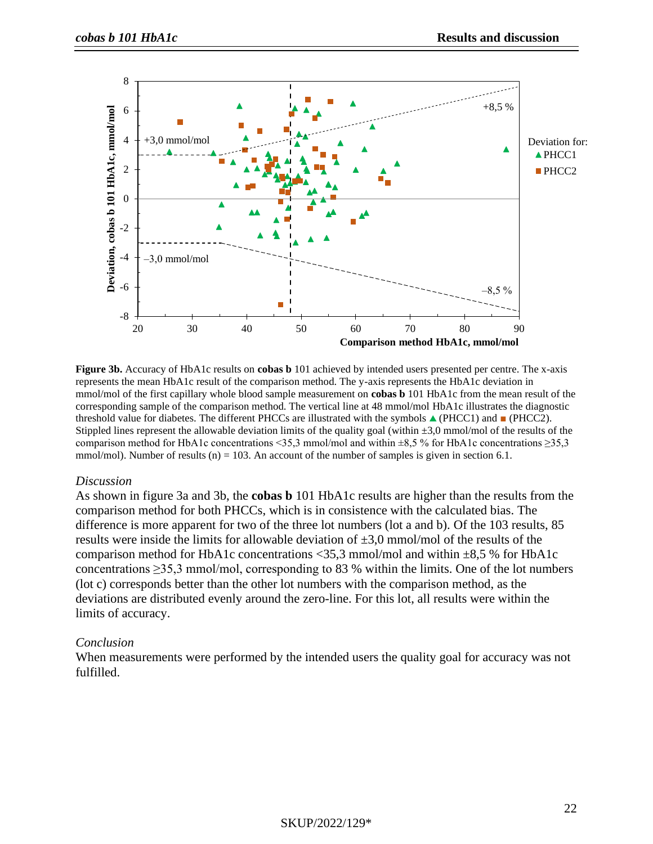

**Figure 3b.** Accuracy of HbA1c results on **cobas b** 101 achieved by intended users presented per centre. The x-axis represents the mean HbA1c result of the comparison method. The y-axis represents the HbA1c deviation in mmol/mol of the first capillary whole blood sample measurement on **cobas b** 101 HbA1c from the mean result of the corresponding sample of the comparison method. The vertical line at 48 mmol/mol HbA1c illustrates the diagnostic threshold value for diabetes. The different PHCCs are illustrated with the symbols  $\triangle$  (PHCC1) and  $\blacksquare$  (PHCC2). Stippled lines represent the allowable deviation limits of the quality goal (within  $\pm 3.0$  mmol/mol of the results of the comparison method for HbA1c concentrations <35,3 mmol/mol and within  $\pm 8.5$  % for HbA1c concentrations  $\geq 35.3$ mmol/mol). Number of results (n) = 103. An account of the number of samples is given in section 6.1.

#### *Discussion*

As shown in figure 3a and 3b, the **cobas b** 101 HbA1c results are higher than the results from the comparison method for both PHCCs, which is in consistence with the calculated bias. The difference is more apparent for two of the three lot numbers (lot a and b). Of the 103 results, 85 results were inside the limits for allowable deviation of  $\pm 3.0$  mmol/mol of the results of the comparison method for HbA1c concentrations <35,3 mmol/mol and within  $\pm 8.5$  % for HbA1c concentrations ≥35,3 mmol/mol, corresponding to 83 % within the limits. One of the lot numbers (lot c) corresponds better than the other lot numbers with the comparison method, as the deviations are distributed evenly around the zero-line. For this lot, all results were within the limits of accuracy.

#### *Conclusion*

When measurements were performed by the intended users the quality goal for accuracy was not fulfilled.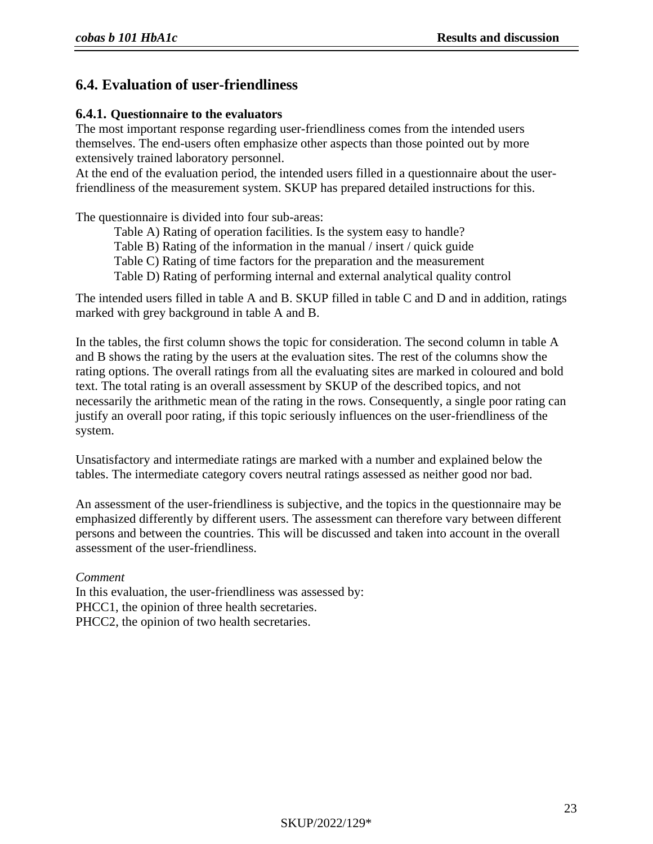## **6.4. Evaluation of user-friendliness**

## **6.4.1. Questionnaire to the evaluators**

The most important response regarding user-friendliness comes from the intended users themselves. The end-users often emphasize other aspects than those pointed out by more extensively trained laboratory personnel.

At the end of the evaluation period, the intended users filled in a questionnaire about the userfriendliness of the measurement system. SKUP has prepared detailed instructions for this.

The questionnaire is divided into four sub-areas:

Table A) Rating of operation facilities. Is the system easy to handle?

Table B) Rating of the information in the manual / insert / quick guide

Table C) Rating of time factors for the preparation and the measurement

Table D) Rating of performing internal and external analytical quality control

The intended users filled in table A and B. SKUP filled in table C and D and in addition, ratings marked with grey background in table A and B.

In the tables, the first column shows the topic for consideration. The second column in table A and B shows the rating by the users at the evaluation sites. The rest of the columns show the rating options. The overall ratings from all the evaluating sites are marked in coloured and bold text. The total rating is an overall assessment by SKUP of the described topics, and not necessarily the arithmetic mean of the rating in the rows. Consequently, a single poor rating can justify an overall poor rating, if this topic seriously influences on the user-friendliness of the system.

Unsatisfactory and intermediate ratings are marked with a number and explained below the tables. The intermediate category covers neutral ratings assessed as neither good nor bad.

An assessment of the user-friendliness is subjective, and the topics in the questionnaire may be emphasized differently by different users. The assessment can therefore vary between different persons and between the countries. This will be discussed and taken into account in the overall assessment of the user-friendliness.

*Comment* In this evaluation, the user-friendliness was assessed by: PHCC1, the opinion of three health secretaries. PHCC2, the opinion of two health secretaries.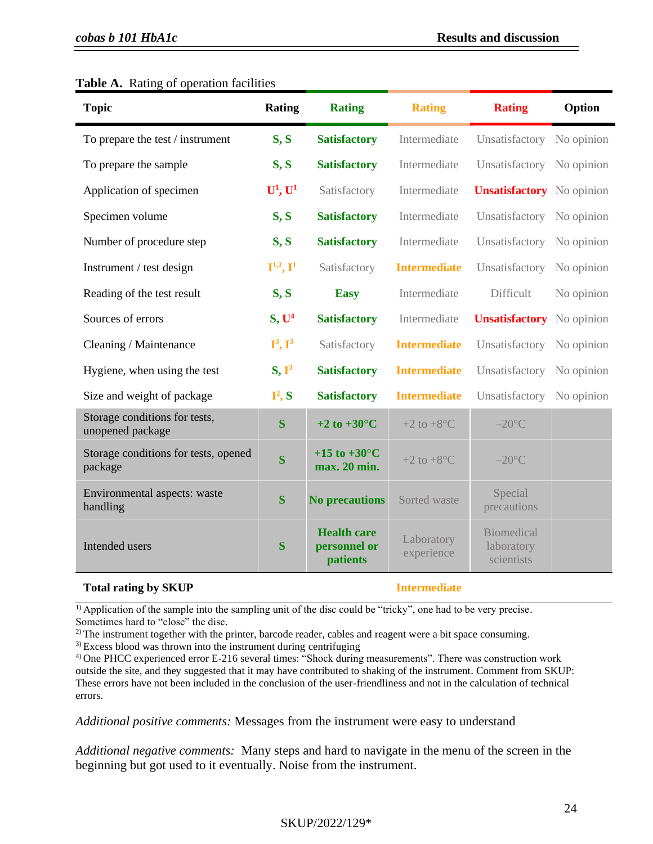| <b>Topic</b>                                      | <b>Rating</b>                | <b>Rating</b>                                  | <b>Rating</b>            | <b>Rating</b>                                 | Option     |
|---------------------------------------------------|------------------------------|------------------------------------------------|--------------------------|-----------------------------------------------|------------|
| To prepare the test / instrument                  | S, S                         | <b>Satisfactory</b>                            | Intermediate             | Unsatisfactory                                | No opinion |
| To prepare the sample                             | S, S                         | <b>Satisfactory</b>                            | Intermediate             | Unsatisfactory                                | No opinion |
| Application of specimen                           | $U^1, U^1$                   | Satisfactory                                   | Intermediate             | <b>Unsatisfactory</b> No opinion              |            |
| Specimen volume                                   | S, S                         | <b>Satisfactory</b>                            | Intermediate             | Unsatisfactory                                | No opinion |
| Number of procedure step                          | S, S                         | <b>Satisfactory</b>                            | Intermediate             | Unsatisfactory                                | No opinion |
| Instrument / test design                          | $I^{1,2}, I^1$               | Satisfactory                                   | <b>Intermediate</b>      | Unsatisfactory                                | No opinion |
| Reading of the test result                        | S, S                         | <b>Easy</b>                                    | Intermediate             | Difficult                                     | No opinion |
| Sources of errors                                 | S, U <sup>4</sup>            | <b>Satisfactory</b>                            | Intermediate             | <b>Unsatisfactory</b>                         | No opinion |
| Cleaning / Maintenance                            | $\mathbf{I}^3, \mathbf{I}^3$ | Satisfactory                                   | <b>Intermediate</b>      | Unsatisfactory                                | No opinion |
| Hygiene, when using the test                      | $S, I^3$                     | <b>Satisfactory</b>                            | <b>Intermediate</b>      | Unsatisfactory                                | No opinion |
| Size and weight of package                        | $I^2, S$                     | <b>Satisfactory</b>                            | <b>Intermediate</b>      | Unsatisfactory                                | No opinion |
| Storage conditions for tests,<br>unopened package | S                            | +2 to +30 $^{\circ}$ C                         | $+2$ to $+8$ °C          | $-20$ °C                                      |            |
| Storage conditions for tests, opened<br>package   | $\overline{\mathbf{S}}$      | +15 to +30 $^{\circ}$ C<br>max. 20 min.        | $+2$ to $+8$ °C          | $-20$ °C                                      |            |
| Environmental aspects: waste<br>handling          | S                            | <b>No precautions</b>                          | Sorted waste             | Special<br>precautions                        |            |
| Intended users                                    | S                            | <b>Health care</b><br>personnel or<br>patients | Laboratory<br>experience | <b>Biomedical</b><br>laboratory<br>scientists |            |

#### **Table A.** Rating of operation facilities

#### **Total rating by SKUP Intermediate**

 $\overline{1}$  Application of the sample into the sampling unit of the disc could be "tricky", one had to be very precise. Sometimes hard to "close" the disc.

<sup>2)</sup> The instrument together with the printer, barcode reader, cables and reagent were a bit space consuming.

<sup>3)</sup> Excess blood was thrown into the instrument during centrifuging

4) One PHCC experienced error E-216 several times: "Shock during measurements". There was construction work outside the site, and they suggested that it may have contributed to shaking of the instrument. Comment from SKUP: These errors have not been included in the conclusion of the user-friendliness and not in the calculation of technical errors.

*Additional positive comments:* Messages from the instrument were easy to understand

*Additional negative comments:* Many steps and hard to navigate in the menu of the screen in the beginning but got used to it eventually. Noise from the instrument.

## SKUP/2022/129\*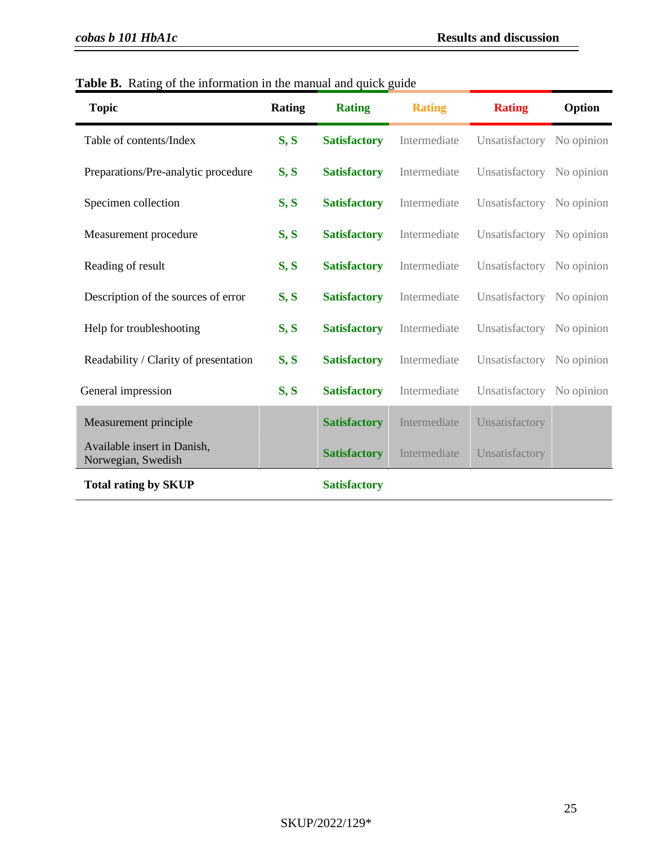| <b>Topic</b>                                      | Rating | <b>Rating</b>       | <b>Rating</b> | <b>Rating</b>             | Option     |
|---------------------------------------------------|--------|---------------------|---------------|---------------------------|------------|
| Table of contents/Index                           | S, S   | <b>Satisfactory</b> | Intermediate  | Unsatisfactory No opinion |            |
| Preparations/Pre-analytic procedure               | S, S   | <b>Satisfactory</b> | Intermediate  | Unsatisfactory No opinion |            |
| Specimen collection                               | S, S   | <b>Satisfactory</b> | Intermediate  | Unsatisfactory            | No opinion |
| Measurement procedure                             | S, S   | <b>Satisfactory</b> | Intermediate  | Unsatisfactory            | No opinion |
| Reading of result                                 | S, S   | <b>Satisfactory</b> | Intermediate  | Unsatisfactory No opinion |            |
| Description of the sources of error               | S, S   | <b>Satisfactory</b> | Intermediate  | Unsatisfactory No opinion |            |
| Help for troubleshooting                          | S, S   | <b>Satisfactory</b> | Intermediate  | Unsatisfactory No opinion |            |
| Readability / Clarity of presentation             | S, S   | <b>Satisfactory</b> | Intermediate  | Unsatisfactory No opinion |            |
| General impression                                | S, S   | <b>Satisfactory</b> | Intermediate  | Unsatisfactory No opinion |            |
| Measurement principle                             |        | <b>Satisfactory</b> | Intermediate  | Unsatisfactory            |            |
| Available insert in Danish,<br>Norwegian, Swedish |        | <b>Satisfactory</b> | Intermediate  | Unsatisfactory            |            |
| <b>Total rating by SKUP</b>                       |        | <b>Satisfactory</b> |               |                           |            |

**Table B.** Rating of the information in the manual and quick guide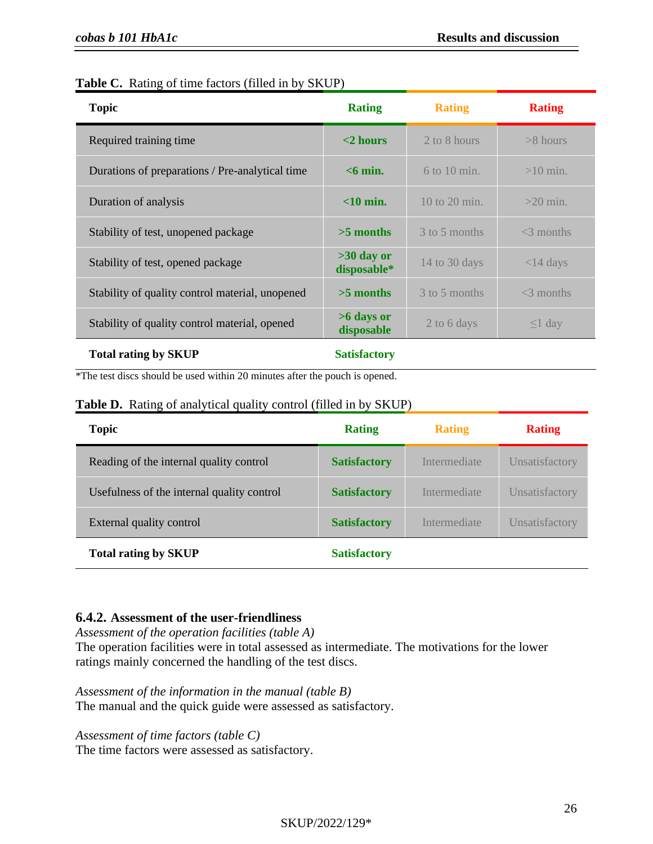| Table C. Rating of time factors (filled in by SKUP) |  |  |  |  |
|-----------------------------------------------------|--|--|--|--|
|                                                     |  |  |  |  |

| <b>Topic</b>                                    | <b>Rating</b>               | <b>Rating</b>     | <b>Rating</b> |
|-------------------------------------------------|-----------------------------|-------------------|---------------|
| Required training time.                         | $<$ 2 hours                 | 2 to 8 hours      | $>8$ hours    |
| Durations of preparations / Pre-analytical time | $<$ 6 min.                  | $6$ to 10 min.    | $>10$ min.    |
| Duration of analysis                            | $<$ 10 min.                 | $10$ to $20$ min. | $>20$ min.    |
| Stability of test, unopened package             | $>5$ months                 | 3 to 5 months     | $<$ 3 months  |
| Stability of test, opened package               | $>30$ day or<br>disposable* | 14 to 30 days     | $<$ 14 days   |
| Stability of quality control material, unopened | $>5$ months                 | 3 to 5 months     | $<$ 3 months  |
| Stability of quality control material, opened   | $>6$ days or<br>disposable  | 2 to 6 days       | $\leq$ 1 day  |
| <b>Total rating by SKUP</b>                     | <b>Satisfactory</b>         |                   |               |

\*The test discs should be used within 20 minutes after the pouch is opened.

| Table D. Rating of analytical quality control (filled in by SKUP) |  |  |  |  |  |  |  |  |  |
|-------------------------------------------------------------------|--|--|--|--|--|--|--|--|--|
|-------------------------------------------------------------------|--|--|--|--|--|--|--|--|--|

| <b>Topic</b>                               | <b>Rating</b>       | <b>Rating</b> | <b>Rating</b>  |
|--------------------------------------------|---------------------|---------------|----------------|
| Reading of the internal quality control    | <b>Satisfactory</b> | Intermediate  | Unsatisfactory |
| Usefulness of the internal quality control | <b>Satisfactory</b> | Intermediate  | Unsatisfactory |
| External quality control                   | <b>Satisfactory</b> | Intermediate  | Unsatisfactory |
| <b>Total rating by SKUP</b>                | <b>Satisfactory</b> |               |                |

## **6.4.2. Assessment of the user-friendliness**

*Assessment of the operation facilities (table A)*  The operation facilities were in total assessed as intermediate. The motivations for the lower ratings mainly concerned the handling of the test discs.

*Assessment of the information in the manual (table B)* The manual and the quick guide were assessed as satisfactory.

*Assessment of time factors (table C)*

The time factors were assessed as satisfactory.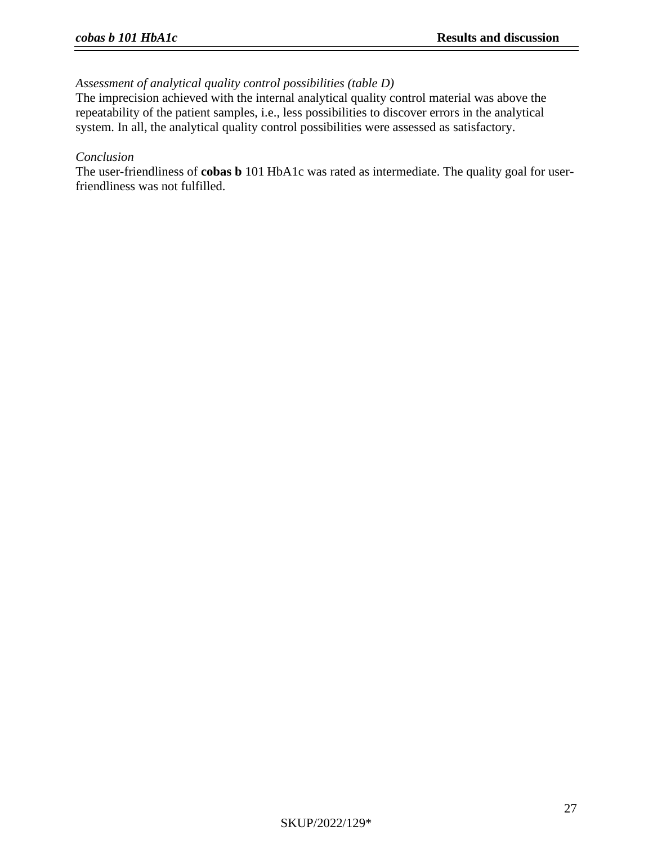## *Assessment of analytical quality control possibilities (table D)*

The imprecision achieved with the internal analytical quality control material was above the repeatability of the patient samples, i.e., less possibilities to discover errors in the analytical system. In all, the analytical quality control possibilities were assessed as satisfactory.

#### *Conclusion*

The user-friendliness of **cobas b** 101 HbA1c was rated as intermediate. The quality goal for userfriendliness was not fulfilled.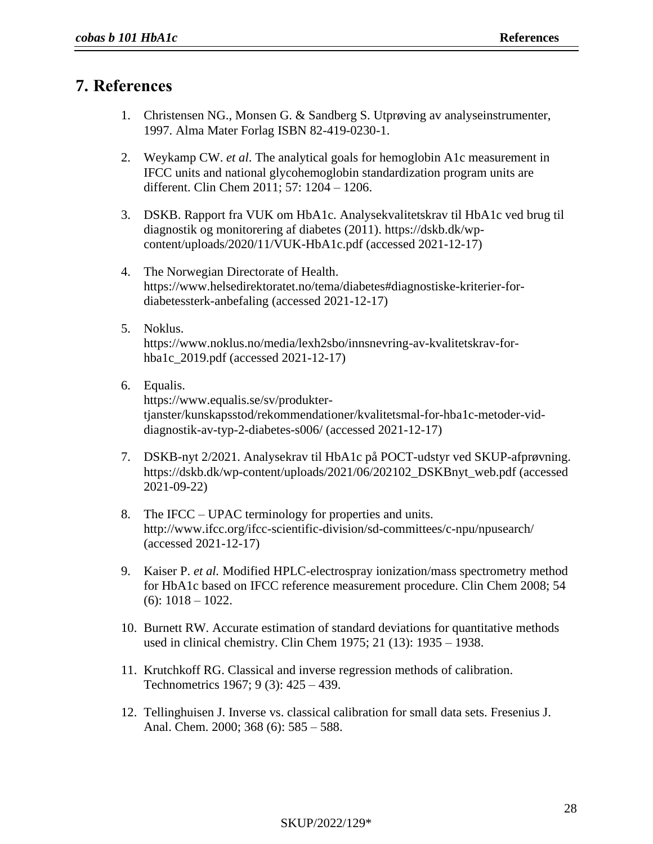# **7. References**

- 1. Christensen NG., Monsen G. & Sandberg S. Utprøving av analyseinstrumenter, 1997. Alma Mater Forlag ISBN 82-419-0230-1.
- 2. Weykamp CW. *et al*. The analytical goals for hemoglobin A1c measurement in IFCC units and national glycohemoglobin standardization program units are different. Clin Chem 2011; 57: 1204 – 1206.
- 3. DSKB. Rapport fra VUK om HbA1c. Analysekvalitetskrav til HbA1c ved brug til diagnostik og monitorering af diabetes (2011). https://dskb.dk/wpcontent/uploads/2020/11/VUK-HbA1c.pdf (accessed 2021-12-17)
- 4. The Norwegian Directorate of Health. https://www.helsedirektoratet.no/tema/diabetes#diagnostiske-kriterier-fordiabetessterk-anbefaling (accessed 2021-12-17)
- 5. Noklus. https://www.noklus.no/media/lexh2sbo/innsnevring-av-kvalitetskrav-forhba1c\_2019.pdf (accessed 2021-12-17)
- 6. Equalis. https://www.equalis.se/sv/produktertjanster/kunskapsstod/rekommendationer/kvalitetsmal-for-hba1c-metoder-viddiagnostik-av-typ-2-diabetes-s006/ (accessed 2021-12-17)
- <span id="page-26-0"></span>7. DSKB-nyt 2/2021. Analysekrav til HbA1c på POCT-udstyr ved SKUP-afprøvning. https://dskb.dk/wp-content/uploads/2021/06/202102\_DSKBnyt\_web.pdf (accessed 2021-09-22)
- <span id="page-26-1"></span>8. The IFCC – UPAC terminology for properties and units. http://www.ifcc.org/ifcc-scientific-division/sd-committees/c-npu/npusearch/ (accessed 2021-12-17)
- <span id="page-26-2"></span>9. Kaiser P. *et al.* Modified HPLC-electrospray ionization/mass spectrometry method for HbA1c based on IFCC reference measurement procedure. Clin Chem 2008; 54  $(6)$ : 1018 – 1022.
- <span id="page-26-5"></span>10. Burnett RW. Accurate estimation of standard deviations for quantitative methods used in clinical chemistry. Clin Chem 1975; 21 (13): 1935 – 1938.
- <span id="page-26-3"></span>11. Krutchkoff RG. Classical and inverse regression methods of calibration. Technometrics 1967; 9 (3): 425 – 439.
- <span id="page-26-4"></span>12. Tellinghuisen J. Inverse vs. classical calibration for small data sets. Fresenius J. Anal. Chem. 2000; 368 (6): 585 – 588.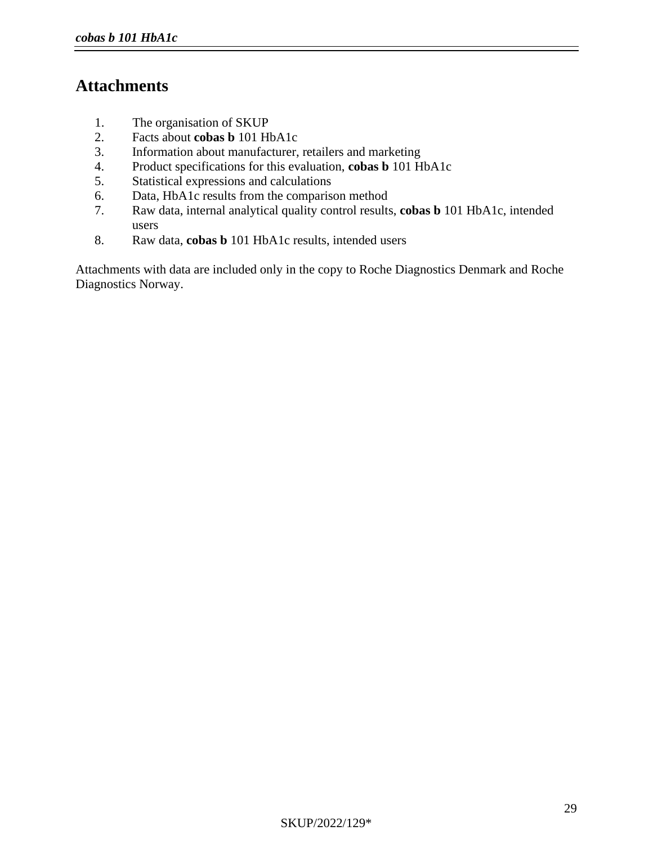# **Attachments**

- 1. The organisation of SKUP
- 2. Facts about **cobas b** 101 HbA1c
- 3. Information about manufacturer, retailers and marketing
- 4. Product specifications for this evaluation, **cobas b** 101 HbA1c
- 5. Statistical expressions and calculations
- 6. Data, HbA1c results from the comparison method
- 7. Raw data, internal analytical quality control results, **cobas b** 101 HbA1c, intended users
- 8. Raw data, **cobas b** 101 HbA1c results, intended users

Attachments with data are included only in the copy to Roche Diagnostics Denmark and Roche Diagnostics Norway.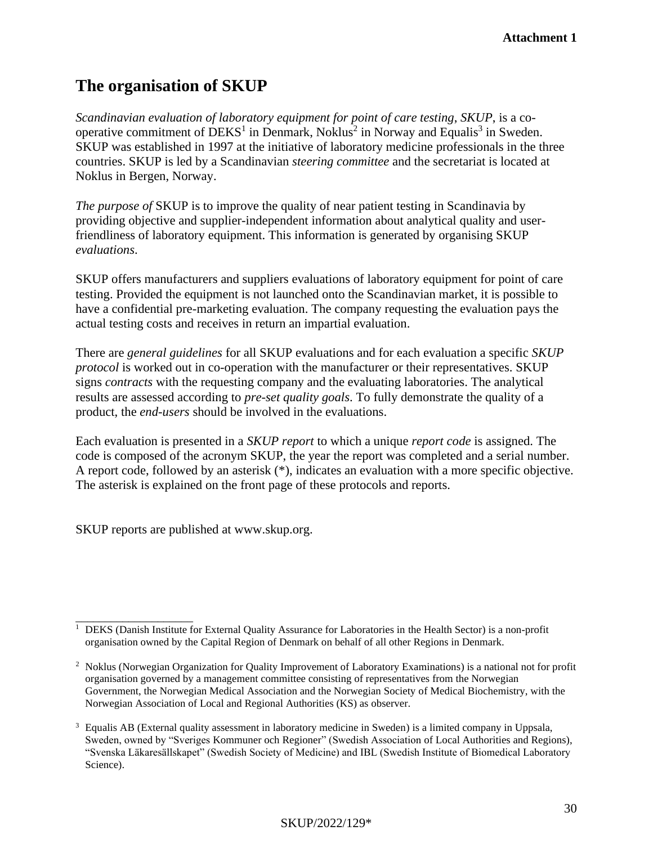# **The organisation of SKUP**

*Scandinavian evaluation of laboratory equipment for point of care testing*, *SKUP*, is a cooperative commitment of  $DEKS<sup>1</sup>$  in Denmark, Noklus<sup>2</sup> in Norway and Equalis<sup>3</sup> in Sweden. SKUP was established in 1997 at the initiative of laboratory medicine professionals in the three countries. SKUP is led by a Scandinavian *steering committee* and the secretariat is located at Noklus in Bergen, Norway.

*The purpose of* SKUP is to improve the quality of near patient testing in Scandinavia by providing objective and supplier-independent information about analytical quality and userfriendliness of laboratory equipment. This information is generated by organising SKUP *evaluations*.

SKUP offers manufacturers and suppliers evaluations of laboratory equipment for point of care testing. Provided the equipment is not launched onto the Scandinavian market, it is possible to have a confidential pre-marketing evaluation. The company requesting the evaluation pays the actual testing costs and receives in return an impartial evaluation.

There are *general guidelines* for all SKUP evaluations and for each evaluation a specific *SKUP protocol* is worked out in co-operation with the manufacturer or their representatives. SKUP signs *contracts* with the requesting company and the evaluating laboratories. The analytical results are assessed according to *pre-set quality goals*. To fully demonstrate the quality of a product, the *end-users* should be involved in the evaluations.

Each evaluation is presented in a *SKUP report* to which a unique *report code* is assigned. The code is composed of the acronym SKUP, the year the report was completed and a serial number. A report code, followed by an asterisk (\*), indicates an evaluation with a more specific objective. The asterisk is explained on the front page of these protocols and reports.

SKUP reports are published at www.skup.org.

\_\_\_\_\_\_\_\_\_\_\_\_\_\_\_\_\_\_\_\_ <sup>1</sup> DEKS (Danish Institute for External Quality Assurance for Laboratories in the Health Sector) is a non-profit organisation owned by the Capital Region of Denmark on behalf of all other Regions in Denmark.

<sup>2</sup> Noklus (Norwegian Organization for Quality Improvement of Laboratory Examinations) is a national not for profit organisation governed by a management committee consisting of representatives from the Norwegian Government, the Norwegian Medical Association and the Norwegian Society of Medical Biochemistry, with the Norwegian Association of Local and Regional Authorities (KS) as observer.

<sup>&</sup>lt;sup>3</sup> Equalis AB (External quality assessment in laboratory medicine in Sweden) is a limited company in Uppsala, Sweden, owned by "Sveriges Kommuner och Regioner" (Swedish Association of Local Authorities and Regions), "Svenska Läkaresällskapet" (Swedish Society of Medicine) and IBL (Swedish Institute of Biomedical Laboratory Science).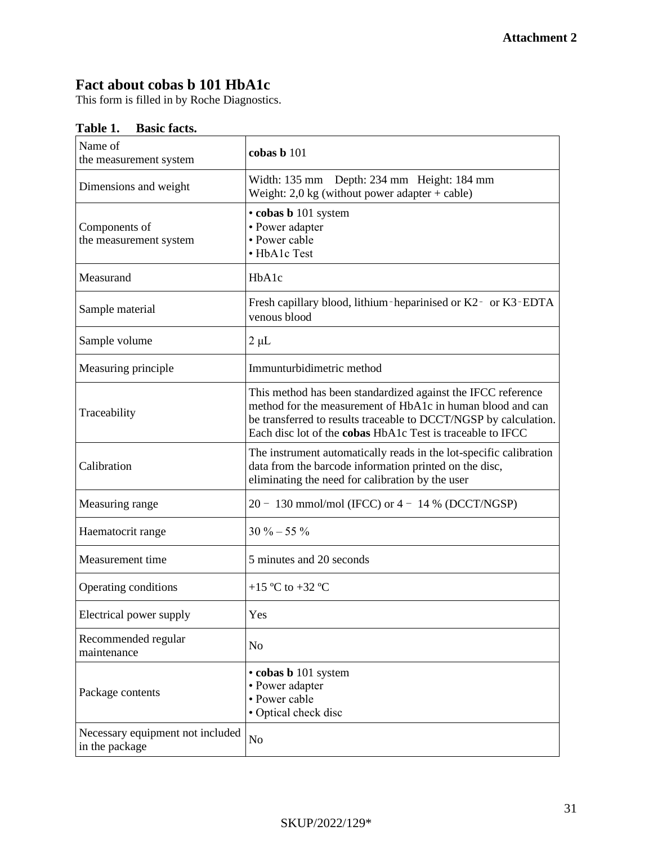## **Fact about cobas b 101 HbA1c**

This form is filled in by Roche Diagnostics.

| Name of<br>the measurement system                  | cobas b 101                                                                                                                                                                                                                                                  |
|----------------------------------------------------|--------------------------------------------------------------------------------------------------------------------------------------------------------------------------------------------------------------------------------------------------------------|
| Dimensions and weight                              | Width: 135 mm Depth: 234 mm Height: 184 mm<br>Weight: $2.0 \text{ kg}$ (without power adapter + cable)                                                                                                                                                       |
| Components of<br>the measurement system            | · cobas b 101 system<br>• Power adapter<br>• Power cable<br>• HbA1c Test                                                                                                                                                                                     |
| Measurand                                          | HbA1c                                                                                                                                                                                                                                                        |
| Sample material                                    | Fresh capillary blood, lithium-heparinised or K2- or K3-EDTA<br>venous blood                                                                                                                                                                                 |
| Sample volume                                      | $2 \mu L$                                                                                                                                                                                                                                                    |
| Measuring principle                                | Immunturbidimetric method                                                                                                                                                                                                                                    |
| Traceability                                       | This method has been standardized against the IFCC reference<br>method for the measurement of HbA1c in human blood and can<br>be transferred to results traceable to DCCT/NGSP by calculation.<br>Each disc lot of the cobas HbA1c Test is traceable to IFCC |
| Calibration                                        | The instrument automatically reads in the lot-specific calibration<br>data from the barcode information printed on the disc,<br>eliminating the need for calibration by the user                                                                             |
| Measuring range                                    | $20 - 130$ mmol/mol (IFCC) or $4 - 14$ % (DCCT/NGSP)                                                                                                                                                                                                         |
| Haematocrit range                                  | $30\% - 55\%$                                                                                                                                                                                                                                                |
| Measurement time                                   | 5 minutes and 20 seconds                                                                                                                                                                                                                                     |
| Operating conditions                               | +15 °C to +32 °C                                                                                                                                                                                                                                             |
| Electrical power supply                            | Yes                                                                                                                                                                                                                                                          |
| Recommended regular<br>maintenance                 | No                                                                                                                                                                                                                                                           |
| Package contents                                   | • cobas b 101 system<br>• Power adapter<br>· Power cable<br>• Optical check disc                                                                                                                                                                             |
| Necessary equipment not included<br>in the package | N <sub>o</sub>                                                                                                                                                                                                                                               |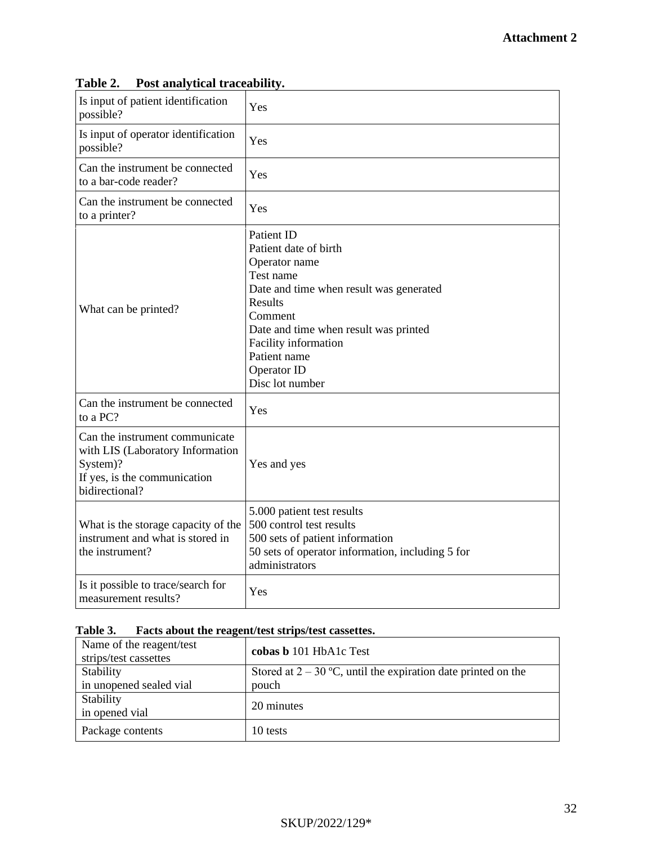| Is input of patient identification<br>possible?                                                                                  | Yes                                                                                                                                                                                                                                                   |
|----------------------------------------------------------------------------------------------------------------------------------|-------------------------------------------------------------------------------------------------------------------------------------------------------------------------------------------------------------------------------------------------------|
| Is input of operator identification<br>possible?                                                                                 | Yes                                                                                                                                                                                                                                                   |
| Can the instrument be connected<br>to a bar-code reader?                                                                         | Yes                                                                                                                                                                                                                                                   |
| Can the instrument be connected<br>to a printer?                                                                                 | Yes                                                                                                                                                                                                                                                   |
| What can be printed?                                                                                                             | Patient ID<br>Patient date of birth<br>Operator name<br>Test name<br>Date and time when result was generated<br>Results<br>Comment<br>Date and time when result was printed<br>Facility information<br>Patient name<br>Operator ID<br>Disc lot number |
| Can the instrument be connected<br>to a PC?                                                                                      | Yes                                                                                                                                                                                                                                                   |
| Can the instrument communicate<br>with LIS (Laboratory Information<br>System)?<br>If yes, is the communication<br>bidirectional? | Yes and yes                                                                                                                                                                                                                                           |
| What is the storage capacity of the<br>instrument and what is stored in<br>the instrument?                                       | 5.000 patient test results<br>500 control test results<br>500 sets of patient information<br>50 sets of operator information, including 5 for<br>administrators                                                                                       |
| Is it possible to trace/search for<br>measurement results?                                                                       | Yes                                                                                                                                                                                                                                                   |

## **Table 2. Post analytical traceability.**

## **Table 3. Facts about the reagent/test strips/test cassettes.**

| Name of the reagent/test<br>strips/test cassettes | cobas b 101 HbA1c Test                                          |
|---------------------------------------------------|-----------------------------------------------------------------|
| Stability                                         | Stored at $2 - 30$ °C, until the expiration date printed on the |
| in unopened sealed vial                           | pouch                                                           |
| Stability<br>in opened vial                       | 20 minutes                                                      |
| Package contents                                  | 10 tests                                                        |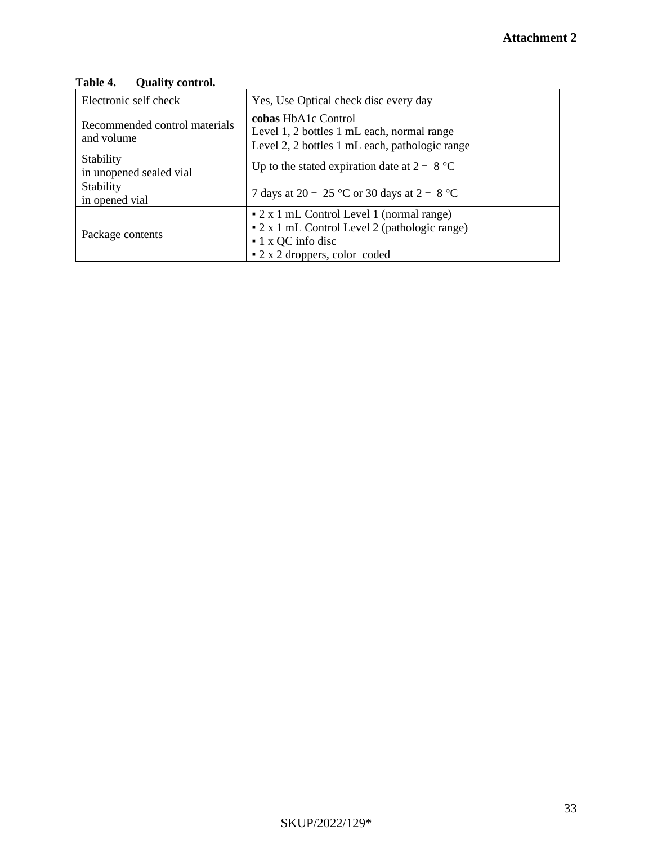## **Table 4. Quality control.**

| Electronic self check                       | Yes, Use Optical check disc every day                                                                                                                   |  |
|---------------------------------------------|---------------------------------------------------------------------------------------------------------------------------------------------------------|--|
| Recommended control materials<br>and volume | cobas HbA1c Control<br>Level 1, 2 bottles 1 mL each, normal range<br>Level 2, 2 bottles 1 mL each, pathologic range                                     |  |
| Stability<br>in unopened sealed vial        | Up to the stated expiration date at $2 - 8$ °C                                                                                                          |  |
| Stability<br>in opened vial                 | 7 days at 20 – 25 °C or 30 days at 2 – 8 °C                                                                                                             |  |
| Package contents                            | • 2 x 1 mL Control Level 1 (normal range)<br>• 2 x 1 mL Control Level 2 (pathologic range)<br>$\cdot$ 1 x QC info disc<br>• 2 x 2 droppers, color coded |  |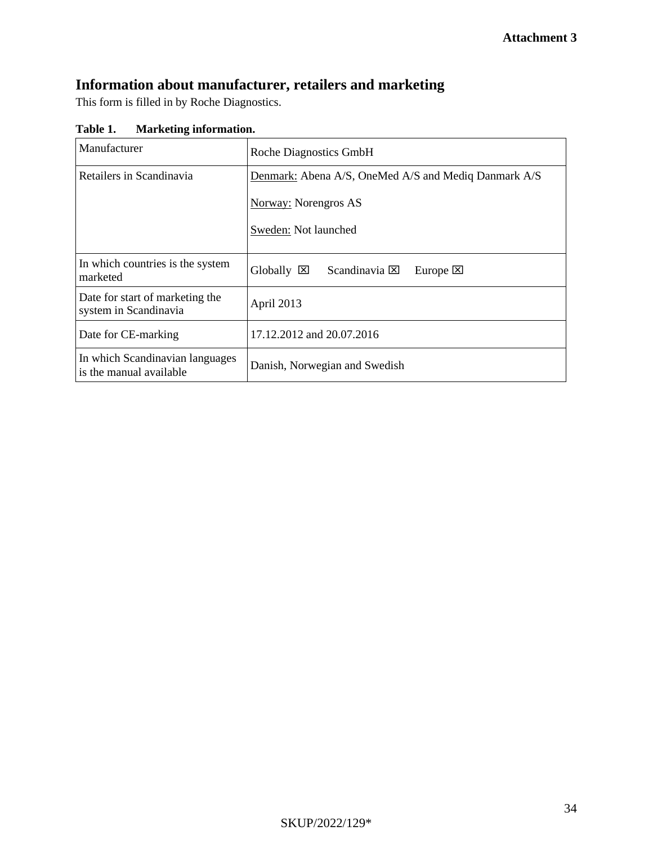# **Information about manufacturer, retailers and marketing**

This form is filled in by Roche Diagnostics.

**Table 1. Marketing information.**

| Manufacturer                                               | <b>Roche Diagnostics GmbH</b>                                           |  |  |
|------------------------------------------------------------|-------------------------------------------------------------------------|--|--|
| Retailers in Scandinavia                                   | Denmark: Abena A/S, OneMed A/S and Mediq Danmark A/S                    |  |  |
|                                                            | <b>Norway:</b> Norengros AS                                             |  |  |
|                                                            | Sweden: Not launched                                                    |  |  |
| In which countries is the system<br>marketed               | $Globally \n\boxtimes$<br>Scandinavia $\boxtimes$<br>Europe $\boxtimes$ |  |  |
| Date for start of marketing the<br>system in Scandinavia   | April 2013                                                              |  |  |
| Date for CE-marking                                        | 17.12.2012 and 20.07.2016                                               |  |  |
| In which Scandinavian languages<br>is the manual available | Danish, Norwegian and Swedish                                           |  |  |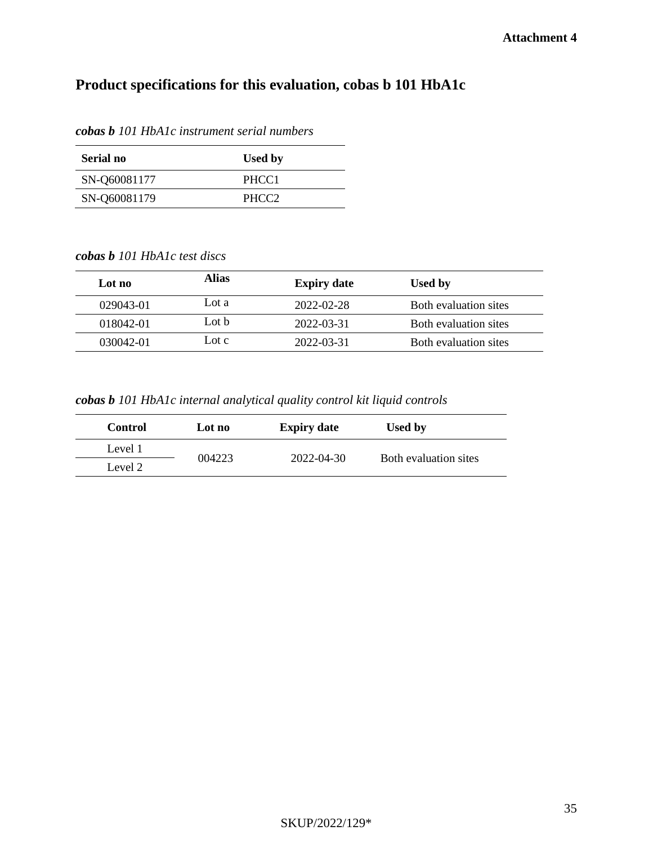# **Product specifications for this evaluation, cobas b 101 HbA1c**

| Serial no    | <b>Used by</b>    |
|--------------|-------------------|
| SN-Q60081177 | PHCC <sub>1</sub> |
| SN-Q60081179 | PHCC <sub>2</sub> |

*cobas b 101 HbA1c instrument serial numbers*

*cobas b 101 HbA1c test discs*

| Lot no    | <b>Alias</b>    | <b>Expiry date</b> | Used by               |
|-----------|-----------------|--------------------|-----------------------|
| 029043-01 | Lot a           | 2022-02-28         | Both evaluation sites |
| 018042-01 | Lot $\mathbf b$ | 2022-03-31         | Both evaluation sites |
| 030042-01 | Lot c           | 2022-03-31         | Both evaluation sites |

*cobas b 101 HbA1c internal analytical quality control kit liquid controls*

| <b>Control</b> | Lot no | <b>Expiry date</b> | <b>Used by</b>        |
|----------------|--------|--------------------|-----------------------|
| Level 1        | 004223 | 2022-04-30         | Both evaluation sites |
| Level 2        |        |                    |                       |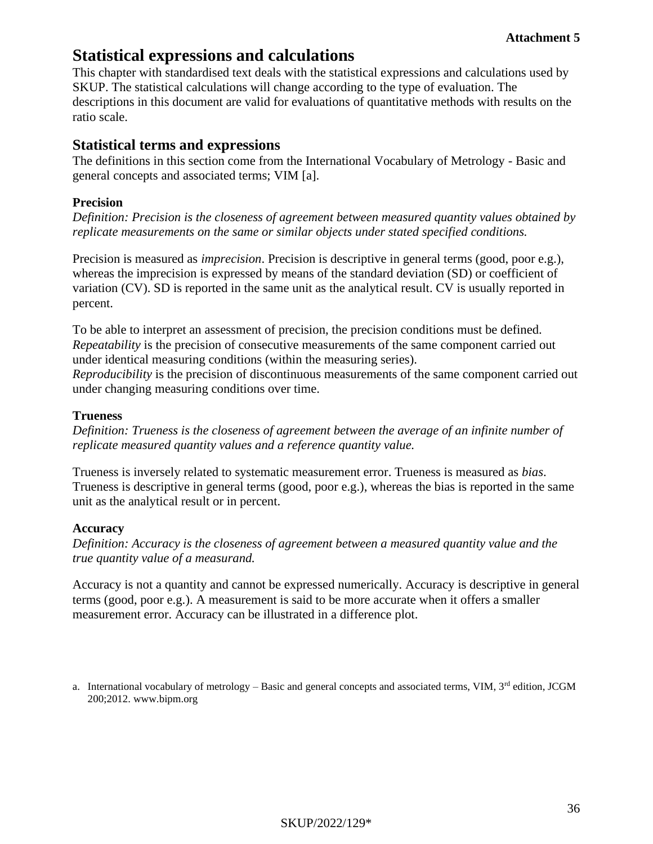# **Statistical expressions and calculations**

This chapter with standardised text deals with the statistical expressions and calculations used by SKUP. The statistical calculations will change according to the type of evaluation. The descriptions in this document are valid for evaluations of quantitative methods with results on the ratio scale.

## **Statistical terms and expressions**

The definitions in this section come from the International Vocabulary of Metrology - Basic and general concepts and associated terms; VIM [a].

## **Precision**

*Definition: Precision is the closeness of agreement between measured quantity values obtained by replicate measurements on the same or similar objects under stated specified conditions.*

Precision is measured as *imprecision*. Precision is descriptive in general terms (good, poor e.g.), whereas the imprecision is expressed by means of the standard deviation (SD) or coefficient of variation (CV). SD is reported in the same unit as the analytical result. CV is usually reported in percent.

To be able to interpret an assessment of precision, the precision conditions must be defined. *Repeatability* is the precision of consecutive measurements of the same component carried out under identical measuring conditions (within the measuring series).

*Reproducibility* is the precision of discontinuous measurements of the same component carried out under changing measuring conditions over time.

#### **Trueness**

*Definition: Trueness is the closeness of agreement between the average of an infinite number of replicate measured quantity values and a reference quantity value.*

Trueness is inversely related to systematic measurement error. Trueness is measured as *bias*. Trueness is descriptive in general terms (good, poor e.g.), whereas the bias is reported in the same unit as the analytical result or in percent.

#### **Accuracy**

*Definition: Accuracy is the closeness of agreement between a measured quantity value and the true quantity value of a measurand.* 

Accuracy is not a quantity and cannot be expressed numerically. Accuracy is descriptive in general terms (good, poor e.g.). A measurement is said to be more accurate when it offers a smaller measurement error. Accuracy can be illustrated in a difference plot.

a. International vocabulary of metrology – Basic and general concepts and associated terms, VIM,  $3<sup>rd</sup>$  edition, JCGM 200;2012. www.bipm.org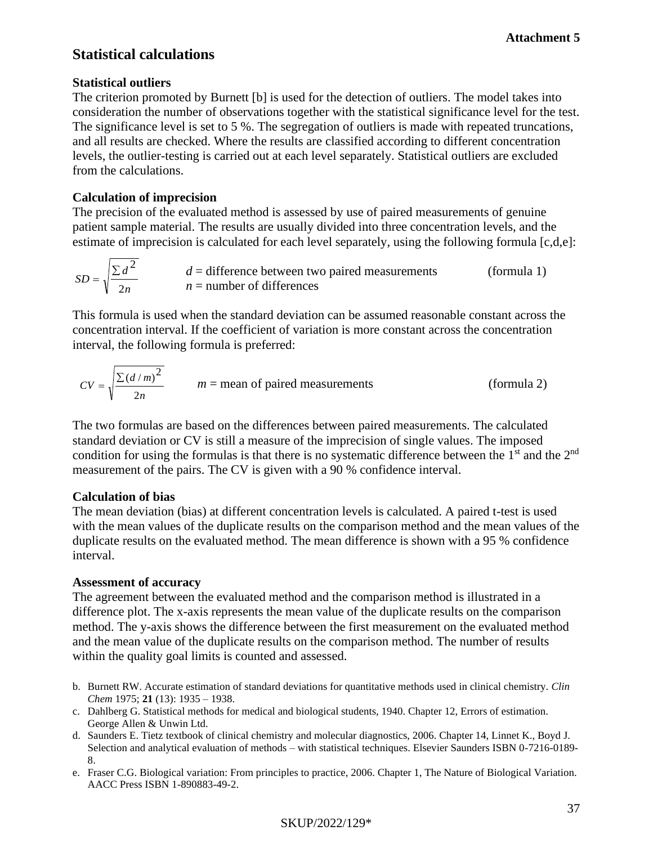## **Statistical calculations**

## **Statistical outliers**

The criterion promoted by Burnett [b] is used for the detection of outliers. The model takes into consideration the number of observations together with the statistical significance level for the test. The significance level is set to 5 %. The segregation of outliers is made with repeated truncations, and all results are checked. Where the results are classified according to different concentration levels, the outlier-testing is carried out at each level separately. Statistical outliers are excluded from the calculations.

#### **Calculation of imprecision**

The precision of the evaluated method is assessed by use of paired measurements of genuine patient sample material. The results are usually divided into three concentration levels, and the estimate of imprecision is calculated for each level separately, using the following formula [c,d,e]:

$$
SD = \sqrt{\frac{\sum d^2}{2n}}
$$
 d = difference between two paired measurements (formula 1)  
 n = number of differences

This formula is used when the standard deviation can be assumed reasonable constant across the concentration interval. If the coefficient of variation is more constant across the concentration interval, the following formula is preferred:

$$
CV = \sqrt{\frac{\sum (d/m)^2}{2n}}
$$
  $m = \text{mean of paired measurements}$  (formula 2)

The two formulas are based on the differences between paired measurements. The calculated standard deviation or CV is still a measure of the imprecision of single values. The imposed condition for using the formulas is that there is no systematic difference between the  $1<sup>st</sup>$  and the  $2<sup>nd</sup>$ measurement of the pairs. The CV is given with a 90 % confidence interval.

#### **Calculation of bias**

The mean deviation (bias) at different concentration levels is calculated. A paired t-test is used with the mean values of the duplicate results on the comparison method and the mean values of the duplicate results on the evaluated method. The mean difference is shown with a 95 % confidence interval.

#### **Assessment of accuracy**

The agreement between the evaluated method and the comparison method is illustrated in a difference plot. The x-axis represents the mean value of the duplicate results on the comparison method. The y-axis shows the difference between the first measurement on the evaluated method and the mean value of the duplicate results on the comparison method. The number of results within the quality goal limits is counted and assessed.

- b. Burnett RW. Accurate estimation of standard deviations for quantitative methods used in clinical chemistry. *Clin Chem* 1975; **21** (13): 1935 – 1938.
- c. Dahlberg G. Statistical methods for medical and biological students, 1940. Chapter 12, Errors of estimation. George Allen & Unwin Ltd.
- d. Saunders E. Tietz textbook of clinical chemistry and molecular diagnostics, 2006. Chapter 14, Linnet K., Boyd J. Selection and analytical evaluation of methods – with statistical techniques. Elsevier Saunders ISBN 0-7216-0189- 8.
- e. Fraser C.G. Biological variation: From principles to practice, 2006. Chapter 1, The Nature of Biological Variation. AACC Press ISBN 1-890883-49-2.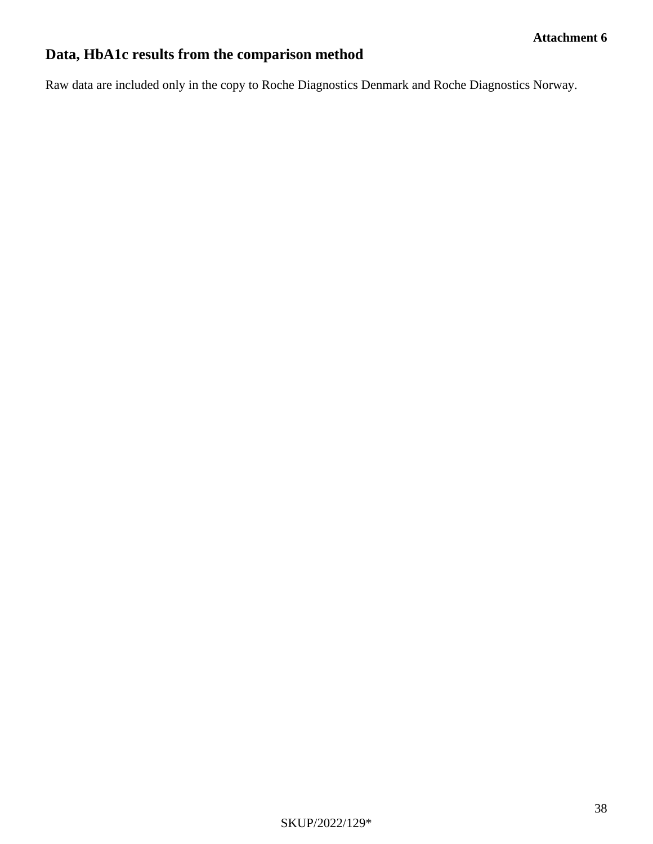# **Data, HbA1c results from the comparison method**

Raw data are included only in the copy to Roche Diagnostics Denmark and Roche Diagnostics Norway.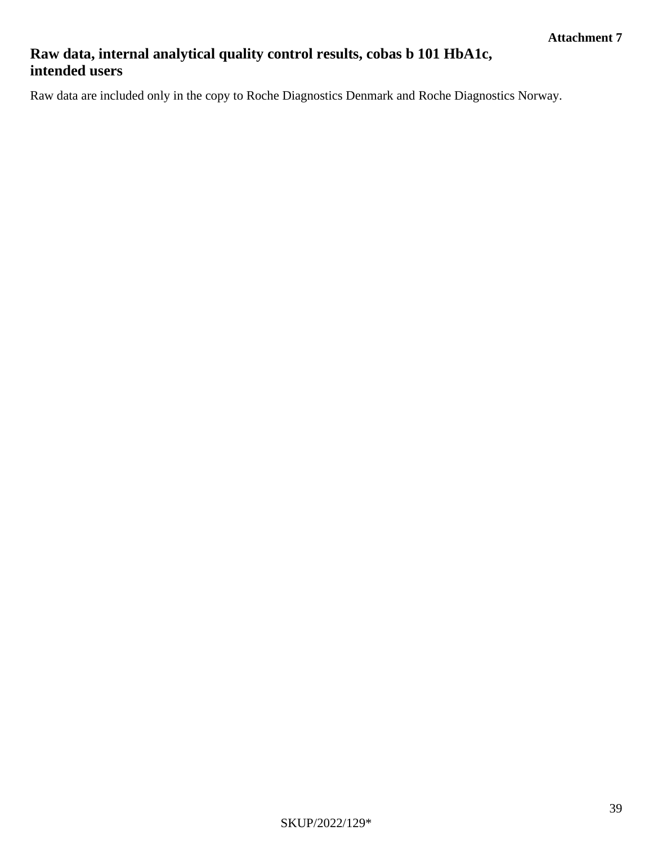# **Raw data, internal analytical quality control results, cobas b 101 HbA1c, intended users**

Raw data are included only in the copy to Roche Diagnostics Denmark and Roche Diagnostics Norway.